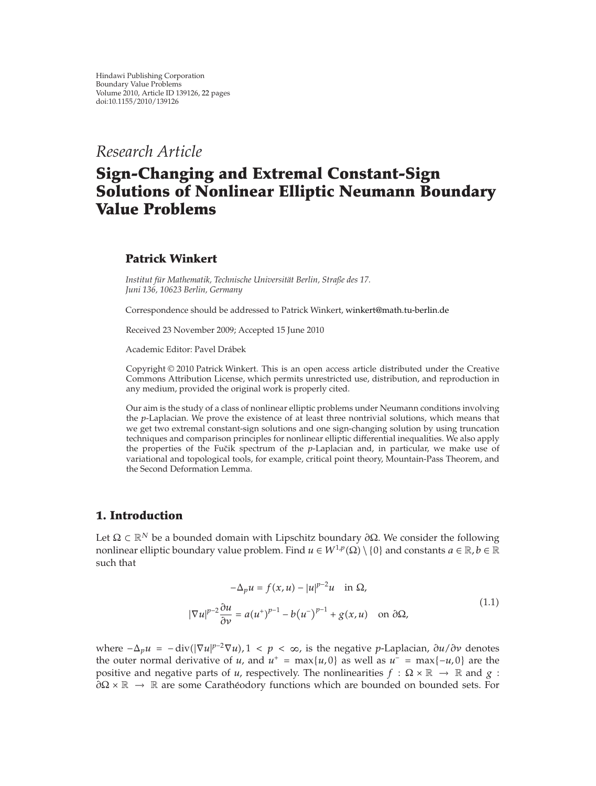*Research Article*

# **Sign-Changing and Extremal Constant-Sign Solutions of Nonlinear Elliptic Neumann Boundary Value Problems**

# **Patrick Winkert**

*Institut fur Mathematik, Technische Universit ¨ at Berlin, Straße des 17. ¨ Juni 136, 10623 Berlin, Germany*

Correspondence should be addressed to Patrick Winkert, winkert@math.tu-berlin.de

Received 23 November 2009; Accepted 15 June 2010

Academic Editor: Pavel Drabek ´

Copyright © 2010 Patrick Winkert. This is an open access article distributed under the Creative Commons Attribution License, which permits unrestricted use, distribution, and reproduction in any medium, provided the original work is properly cited.

Our aim is the study of a class of nonlinear elliptic problems under Neumann conditions involving the *p*-Laplacian. We prove the existence of at least three nontrivial solutions, which means that we get two extremal constant-sign solutions and one sign-changing solution by using truncation techniques and comparison principles for nonlinear elliptic differential inequalities. We also apply the properties of the Fučik spectrum of the *p*-Laplacian and, in particular, we make use of variational and topological tools, for example, critical point theory, Mountain-Pass Theorem, and the Second Deformation Lemma.

# **1. Introduction**

Let Ω ⊂ R*<sup>N</sup>* be a bounded domain with Lipschitz boundary *∂*Ω. We consider the following nonlinear elliptic boundary value problem. Find  $u \in W^{1,p}(\Omega) \setminus \{0\}$  and constants  $a \in \mathbb{R}$ ,  $b \in \mathbb{R}$ such that

$$
-\Delta_p u = f(x, u) - |u|^{p-2}u \quad \text{in } \Omega,
$$
  

$$
|\nabla u|^{p-2} \frac{\partial u}{\partial v} = a(u^+)^{p-1} - b(u^-)^{p-1} + g(x, u) \quad \text{on } \partial \Omega,
$$
 (1.1)

*where*  $-\Delta_p u = -div(|∇u|^{p-2}∇u)$ , 1 < *p* < ∞, is the negative *p*-Laplacian, *∂u/∂v* denotes the outer normal derivative of *u*, and  $u^+ = \max\{u, 0\}$  as well as  $u^- = \max\{-u, 0\}$  are the positive and negative parts of *u*, respectively. The nonlinearities  $f : \Omega \times \mathbb{R} \to \mathbb{R}$  and  $g :$ *∂* $\Omega \times \mathbb{R}$  →  $\mathbb{R}$  are some Caratheodory functions which are bounded on bounded sets. For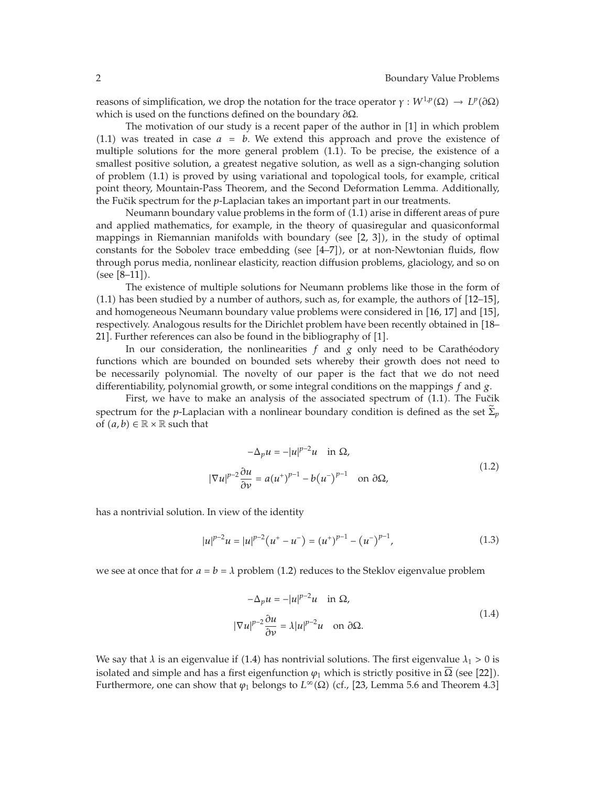reasons of simplification, we drop the notation for the trace operator *γ* :  $W^{1,p}(\Omega) \to L^p(\partial \Omega)$ which is used on the functions defined on the boundary *∂*Ω.

The motivation of our study is a recent paper of the author in [1] in which problem  $(1.1)$  was treated in case  $a = b$ . We extend this approach and prove the existence of multiple solutions for the more general problem  $(1.1)$ . To be precise, the existence of a smallest positive solution, a greatest negative solution, as well as a sign-changing solution of problem 1.1 is proved by using variational and topological tools, for example, critical point theory, Mountain-Pass Theorem, and the Second Deformation Lemma. Additionally, the Fu˘cik spectrum for the *p*-Laplacian takes an important part in our treatments.

Neumann boundary value problems in the form of  $(1.1)$  arise in different areas of pure and applied mathematics, for example, in the theory of quasiregular and quasiconformal mappings in Riemannian manifolds with boundary (see [2, 3]), in the study of optimal constants for the Sobolev trace embedding (see  $[4-7]$ ), or at non-Newtonian fluids, flow through porus media, nonlinear elasticity, reaction diffusion problems, glaciology, and so on  $(see [8-11]).$ 

The existence of multiple solutions for Neumann problems like those in the form of  $(1.1)$  has been studied by a number of authors, such as, for example, the authors of  $[12-15]$ , and homogeneous Neumann boundary value problems were considered in  $[16, 17]$  and  $[15]$ , respectively. Analogous results for the Dirichlet problem have been recently obtained in [18– 21]. Further references can also be found in the bibliography of [1].

In our consideration, the nonlinearities  $f$  and  $g$  only need to be Caratheodory functions which are bounded on bounded sets whereby their growth does not need to be necessarily polynomial. The novelty of our paper is the fact that we do not need differentiability, polynomial growth, or some integral conditions on the mappings *f* and *g*.

First, we have to make an analysis of the associated spectrum of  $(1.1)$ . The Fučik spectrum for the *p*-Laplacian with a nonlinear boundary condition is defined as the set  $\Sigma_p$ of  $(a, b) \in \mathbb{R} \times \mathbb{R}$  such that

$$
-\Delta_p u = -|u|^{p-2}u \quad \text{in } \Omega,
$$
  

$$
|\nabla u|^{p-2} \frac{\partial u}{\partial v} = a(u^+)^{p-1} - b(u^-)^{p-1} \quad \text{on } \partial\Omega,
$$
 (1.2)

has a nontrivial solution. In view of the identity

$$
|u|^{p-2}u = |u|^{p-2}(u^+ - u^-) = (u^+)^{p-1} - (u^-)^{p-1},
$$
\n(1.3)

we see at once that for  $a = b = \lambda$  problem (1.2) reduces to the Steklov eigenvalue problem

$$
-\Delta_p u = -|u|^{p-2}u \quad \text{in } \Omega,
$$
  

$$
|\nabla u|^{p-2} \frac{\partial u}{\partial v} = \lambda |u|^{p-2}u \quad \text{on } \partial \Omega.
$$
 (1.4)

We say that  $\lambda$  is an eigenvalue if (1.4) has nontrivial solutions. The first eigenvalue  $\lambda_1 > 0$  is isolated and simple and has a first eigenfunction  $\varphi_1$  which is strictly positive in  $\Omega$  (see [22]). Furthermore, one can show that  $\varphi_1$  belongs to  $L^\infty(\Omega)$  (cf., [23, Lemma 5.6 and Theorem 4.3]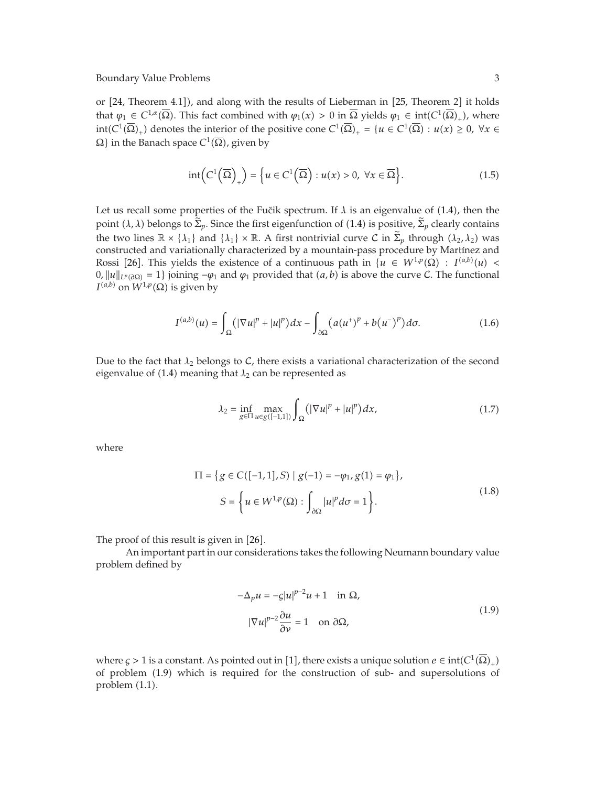or [24, Theorem 4.1]), and along with the results of Lieberman in [25, Theorem 2] it holds that  $\varphi_1 \in C^{1,\alpha}(\overline{\Omega})$ . This fact combined with  $\varphi_1(x) > 0$  in  $\overline{\Omega}$  yields  $\varphi_1 \in \text{int}(C^1(\overline{\Omega})_+)$ , where  $int(C^1(\overline{\Omega})_+)$  denotes the interior of the positive cone  $C^1(\overline{\Omega})_+ = \{u \in C^1(\overline{\Omega}) : u(x) \geq 0, \forall x \in \Omega\}$  $Ω$ } in the Banach space  $C^1(\overline{Ω})$ , given by

$$
int\left(C^1\left(\overline{\Omega}\right)_+\right) = \left\{u \in C^1\left(\overline{\Omega}\right) : u(x) > 0, \ \forall x \in \overline{\Omega}\right\}.
$$
\n(1.5)

Let us recall some properties of the Fučik spectrum. If  $\lambda$  is an eigenvalue of  $(1.4)$ , then the point  $(\lambda, \lambda)$  belongs to  $\tilde{\Sigma}_p$ . Since the first eigenfunction of (1.4) is positive,  $\tilde{\Sigma}_p$  clearly contains the two lines  $\mathbb{R} \times \{\lambda_1\}$  and  $\{\lambda_1\} \times \mathbb{R}$ . A first nontrivial curve C in  $\tilde{\Sigma}_p$  through  $(\lambda_2, \lambda_2)$  was constructed and variationally characterized by a mountain-pass procedure by Martínez and Rossi [26]. This yields the existence of a continuous path in  $\{u \in W^{1,p}(\Omega) : I^{(a,b)}(u) \leq \lambda\}$  $0, ||u||_{L<sup>p</sup>(∂Ω)} = 1$ } joining  $-φ_1$  and  $φ_1$  provided that  $(a, b)$  is above the curve C. The functional *I*<sup>(*a,b*)</sup> on  $W^{1,p}(\Omega)$  is given by

$$
I^{(a,b)}(u) = \int_{\Omega} (|\nabla u|^p + |u|^p) dx - \int_{\partial \Omega} (a(u^+)^p + b(u^-)^p) d\sigma.
$$
 (1.6)

Due to the fact that  $\lambda_2$  belongs to C, there exists a variational characterization of the second eigenvalue of  $(1.4)$  meaning that  $\lambda_2$  can be represented as

$$
\lambda_2 = \inf_{g \in \Pi} \max_{u \in g([-1,1])} \int_{\Omega} (|\nabla u|^p + |u|^p) dx, \tag{1.7}
$$

where

$$
\Pi = \{ g \in C([-1, 1], S) \mid g(-1) = -\varphi_1, g(1) = \varphi_1 \},
$$
  

$$
S = \left\{ u \in W^{1, p}(\Omega) : \int_{\partial \Omega} |u|^p d\sigma = 1 \right\}.
$$
 (1.8)

The proof of this result is given in [26].

An important part in our considerations takes the following Neumann boundary value problem defined by

$$
-\Delta_p u = -\varsigma |u|^{p-2}u + 1 \quad \text{in } \Omega,
$$
  

$$
|\nabla u|^{p-2} \frac{\partial u}{\partial \nu} = 1 \quad \text{on } \partial \Omega,
$$
 (1.9)

where  $\zeta > 1$  is a constant. As pointed out in [1], there exists a unique solution  $e \in \text{int}(C^1(\Omega)_+)$ of problem 1.9 which is required for the construction of sub- and supersolutions of problem  $(1.1)$ .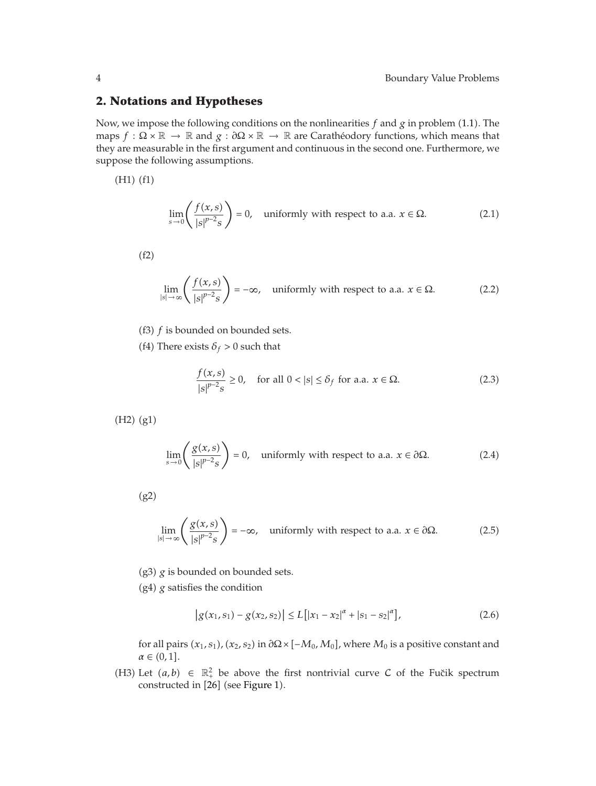# **2. Notations and Hypotheses**

Now, we impose the following conditions on the nonlinearities *f* and *g* in problem 1.1. The maps  $f : \Omega \times \mathbb{R} \to \mathbb{R}$  and  $g : \partial \Omega \times \mathbb{R} \to \mathbb{R}$  are Caratheodory functions, which means that they are measurable in the first argument and continuous in the second one. Furthermore, we suppose the following assumptions.

 $(H1)$  $(f1)$ 

$$
\lim_{s \to 0} \left( \frac{f(x, s)}{|s|^{p-2} s} \right) = 0, \quad \text{uniformly with respect to a.a. } x \in \Omega. \tag{2.1}
$$

 $(f2)$ 

$$
\lim_{|s| \to \infty} \left( \frac{f(x, s)}{|s|^{p-2} s} \right) = -\infty, \quad \text{uniformly with respect to a.a. } x \in \Omega. \tag{2.2}
$$

- (f3)  $f$  is bounded on bounded sets.
- (f4) There exists  $\delta_f > 0$  such that

$$
\frac{f(x,s)}{|s|^{p-2}s} \ge 0, \quad \text{for all } 0 < |s| \le \delta_f \text{ for a.a. } x \in \Omega. \tag{2.3}
$$

 $(H2)$   $(g1)$ 

$$
\lim_{s \to 0} \left( \frac{g(x, s)}{|s|^{p-2} s} \right) = 0, \quad \text{uniformly with respect to a.a. } x \in \partial \Omega. \tag{2.4}
$$

 $(g2)$ 

$$
\lim_{|s| \to \infty} \left( \frac{g(x, s)}{|s|^{p-2} s} \right) = -\infty, \quad \text{uniformly with respect to a.a. } x \in \partial \Omega. \tag{2.5}
$$

 $(g3)$   $g$  is bounded on bounded sets.

 $(g4)$   $g$  satisfies the condition

$$
\left| g(x_1, s_1) - g(x_2, s_2) \right| \le L \left[ |x_1 - x_2|^{\alpha} + |s_1 - s_2|^{\alpha} \right],\tag{2.6}
$$

for all pairs  $(x_1,s_1)$ ,  $(x_2,s_2)$  in  $\partial \Omega \times [-M_0,M_0]$ , where  $M_0$  is a positive constant and  $\alpha \in (0,1].$ 

(H3) Let  $(a, b) \in \mathbb{R}_+^2$  be above the first nontrivial curve C of the Fučik spectrum constructed in [26] (see Figure 1).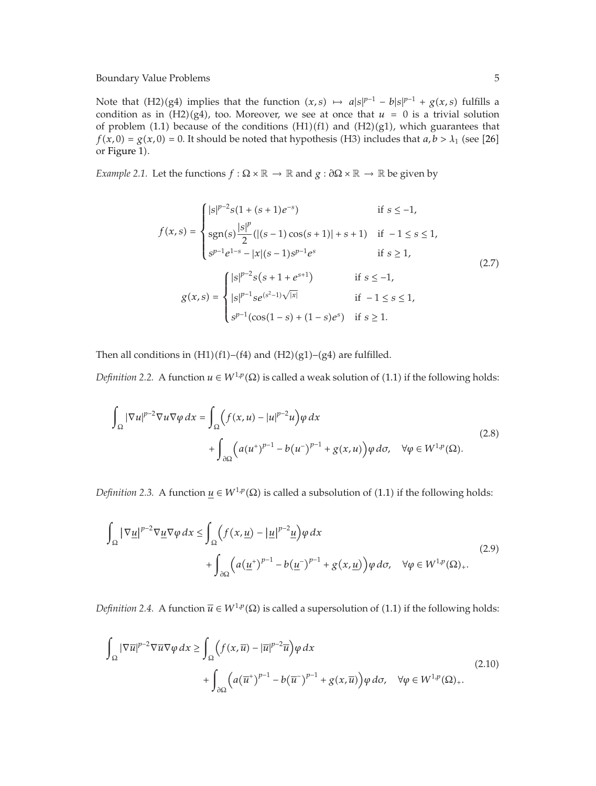Note that (H2)(g4) implies that the function  $(x, s) \mapsto a|s|^{p-1} - b|s|^{p-1} + g(x, s)$  fulfills a condition as in (H2)(g4), too. Moreover, we see at once that  $u = 0$  is a trivial solution of problem (1.1) because of the conditions  $(H1)(f1)$  and  $(H2)(g1)$ , which guarantees that  $f(x,0) = g(x,0) = 0$ . It should be noted that hypothesis (H3) includes that  $a, b > \lambda_1$  (see [26] or Figure 1).

*Example 2.1.* Let the functions  $f : \Omega \times \mathbb{R} \to \mathbb{R}$  and  $g : \partial \Omega \times \mathbb{R} \to \mathbb{R}$  be given by

$$
f(x,s) = \begin{cases} |s|^{p-2}s(1+(s+1)e^{-s}) & \text{if } s \le -1, \\ \operatorname{sgn}(s)\frac{|s|^p}{2}(|(s-1)\cos(s+1)|+s+1) & \text{if } -1 \le s \le 1, \\ s^{p-1}e^{1-s} - |x|(s-1)s^{p-1}e^s & \text{if } s \ge 1, \end{cases}
$$
\n
$$
g(x,s) = \begin{cases} |s|^{p-2}s(s+1+e^{s+1}) & \text{if } s \le -1, \\ |s|^{p-1}se^{(s^2-1)\sqrt{|x|}} & \text{if } -1 \le s \le 1, \\ s^{p-1}(\cos(1-s)+(1-s)e^s) & \text{if } s \ge 1. \end{cases}
$$
\n(2.7)

Then all conditions in  $(H1)(f1)–(f4)$  and  $(H2)(g1)–(g4)$  are fulfilled.

*Definition 2.2.* A function  $u \in W^{1,p}(\Omega)$  is called a weak solution of (1.1) if the following holds:

$$
\int_{\Omega} |\nabla u|^{p-2} \nabla u \nabla \varphi \, dx = \int_{\Omega} \left( f(x, u) - |u|^{p-2} u \right) \varphi \, dx \n+ \int_{\partial \Omega} \left( a(u^+)^{p-1} - b(u^-)^{p-1} + g(x, u) \right) \varphi \, d\sigma, \quad \forall \varphi \in W^{1, p}(\Omega).
$$
\n(2.8)

*Definition 2.3.* A function  $u \in W^{1,p}(\Omega)$  is called a subsolution of (1.1) if the following holds:

$$
\int_{\Omega} |\nabla \underline{u}|^{p-2} \nabla \underline{u} \nabla \varphi \, dx \le \int_{\Omega} \left( f(x, \underline{u}) - |\underline{u}|^{p-2} \underline{u} \right) \varphi \, dx
$$
\n
$$
+ \int_{\partial \Omega} \left( a (\underline{u}^+)^{p-1} - b (\underline{u}^-)^{p-1} + g(x, \underline{u}) \right) \varphi \, d\sigma, \quad \forall \varphi \in W^{1,p}(\Omega)_+.
$$
\n(2.9)

*Definition 2.4.* A function  $\overline{u} \in W^{1,p}(\Omega)$  is called a supersolution of (1.1) if the following holds:

$$
\int_{\Omega} |\nabla \overline{u}|^{p-2} \nabla \overline{u} \nabla \varphi \, dx \ge \int_{\Omega} \left( f(x, \overline{u}) - |\overline{u}|^{p-2} \overline{u} \right) \varphi \, dx
$$
\n
$$
+ \int_{\partial \Omega} \left( a(\overline{u}^+)^{p-1} - b(\overline{u}^-)^{p-1} + g(x, \overline{u}) \right) \varphi \, d\sigma, \quad \forall \varphi \in W^{1,p}(\Omega)_+.
$$
\n(2.10)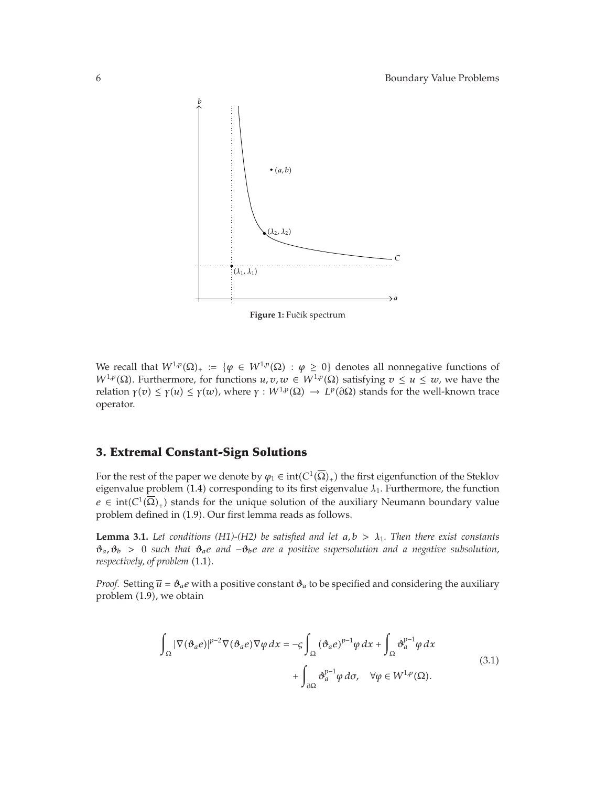

Figure 1: Fučik spectrum

We recall that  $W^{1,p}(\Omega)_+ := \{ \varphi \in W^{1,p}(\Omega) : \varphi \geq 0 \}$  denotes all nonnegative functions of *W*<sup>1</sup> $_p$ </sup>( $\Omega$ ). Furthermore, for functions *u*, *v*, *w* ∈ *W*<sup>1</sup> $_p$ </sup>( $\Omega$ ) satisfying *v* ≤ *u* ≤ *w*, we have the *relation γ*(*v*)  $\leq$  *γ*(*u*)  $\leq$  *γ*(*w*), where *γ* : *W*<sup>1</sup>,*p*</sup>(Ω)  $\rightarrow$  *LP*(∂Ω) stands for the well-known trace operator.

# **3. Extremal Constant-Sign Solutions**

For the rest of the paper we denote by  $\varphi_1 \in \text{int}(C^1(\overline{\Omega})_+)$  the first eigenfunction of the Steklov eigenvalue problem  $(1.4)$  corresponding to its first eigenvalue  $\lambda_1$ . Furthermore, the function  $e \in \text{int}(C^1(\overline{\Omega})_+)$  stands for the unique solution of the auxiliary Neumann boundary value problem defined in (1.9). Our first lemma reads as follows.

**Lemma 3.1.** Let conditions (H1)-(H2) be satisfied and let  $a, b > \lambda_1$ . Then there exist constants *ϑa, ϑb >* 0 *such that ϑae and* −*ϑbe are a positive supersolution and a negative subsolution, respectively, of problem* (1.1).

*Proof.* Setting  $\overline{u} = \vartheta_a e$  with a positive constant  $\vartheta_a$  to be specified and considering the auxiliary problem  $(1.9)$ , we obtain

$$
\int_{\Omega} |\nabla(\vartheta_a e)|^{p-2} \nabla(\vartheta_a e) \nabla \varphi \, dx = -\varsigma \int_{\Omega} (\vartheta_a e)^{p-1} \varphi \, dx + \int_{\Omega} \vartheta_a^{p-1} \varphi \, dx + \int_{\partial \Omega} \vartheta_a^{p-1} \varphi \, d\sigma, \quad \forall \varphi \in W^{1,p}(\Omega).
$$
\n(3.1)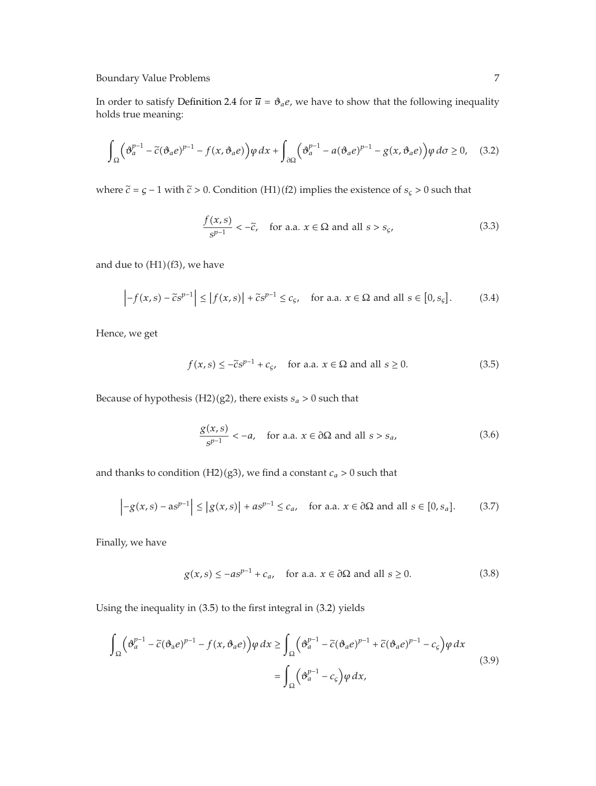In order to satisfy Definition 2.4 for  $\overline{u} = \vartheta_a e$ , we have to show that the following inequality holds true meaning:

$$
\int_{\Omega} \left( \vartheta_a^{p-1} - \tilde{c}(\vartheta_a e)^{p-1} - f(x, \vartheta_a e) \right) \varphi \, dx + \int_{\partial \Omega} \left( \vartheta_a^{p-1} - a(\vartheta_a e)^{p-1} - g(x, \vartheta_a e) \right) \varphi \, d\sigma \ge 0, \quad (3.2)
$$

where  $\tilde{c}$  =  $\varsigma$  – 1 with  $\tilde{c}$  > 0. Condition (H1)(f2) implies the existence of  $s_{\varsigma}$  > 0 such that

$$
\frac{f(x,s)}{s^{p-1}} < -\tilde{c}, \quad \text{for a.a. } x \in \Omega \text{ and all } s > s_{\varsigma}, \tag{3.3}
$$

and due to  $(H1)(f3)$ , we have

$$
\left| -f(x,s) - \tilde{c}s^{p-1} \right| \le \left| f(x,s) \right| + \tilde{c}s^{p-1} \le c_{\varsigma}, \quad \text{for a.a. } x \in \Omega \text{ and all } s \in [0, s_{\varsigma}]. \tag{3.4}
$$

Hence, we get

$$
f(x,s) \le -\tilde{c}s^{p-1} + c_{\varsigma}, \quad \text{for a.a. } x \in \Omega \text{ and all } s \ge 0.
$$
 (3.5)

Because of hypothesis (H2)(g2), there exists  $s_a > 0$  such that

$$
\frac{g(x,s)}{s^{p-1}} < -a, \quad \text{for a.a. } x \in \partial\Omega \text{ and all } s > s_a,\tag{3.6}
$$

and thanks to condition (H2)(g3), we find a constant  $c_a > 0$  such that

$$
\left| -g(x,s) - as^{p-1} \right| \le \left| g(x,s) \right| + as^{p-1} \le c_a, \quad \text{for a.a. } x \in \partial \Omega \text{ and all } s \in [0, s_a]. \tag{3.7}
$$

Finally, we have

$$
g(x,s) \le -as^{p-1} + c_a, \quad \text{for a.a. } x \in \partial\Omega \text{ and all } s \ge 0.
$$
 (3.8)

Using the inequality in  $(3.5)$  to the first integral in  $(3.2)$  yields

$$
\int_{\Omega} \left( \vartheta_a^{p-1} - \tilde{c}(\vartheta_a e)^{p-1} - f(x, \vartheta_a e) \right) \varphi \, dx \ge \int_{\Omega} \left( \vartheta_a^{p-1} - \tilde{c}(\vartheta_a e)^{p-1} + \tilde{c}(\vartheta_a e)^{p-1} - c_{\varsigma} \right) \varphi \, dx
$$
\n
$$
= \int_{\Omega} \left( \vartheta_a^{p-1} - c_{\varsigma} \right) \varphi \, dx,
$$
\n(3.9)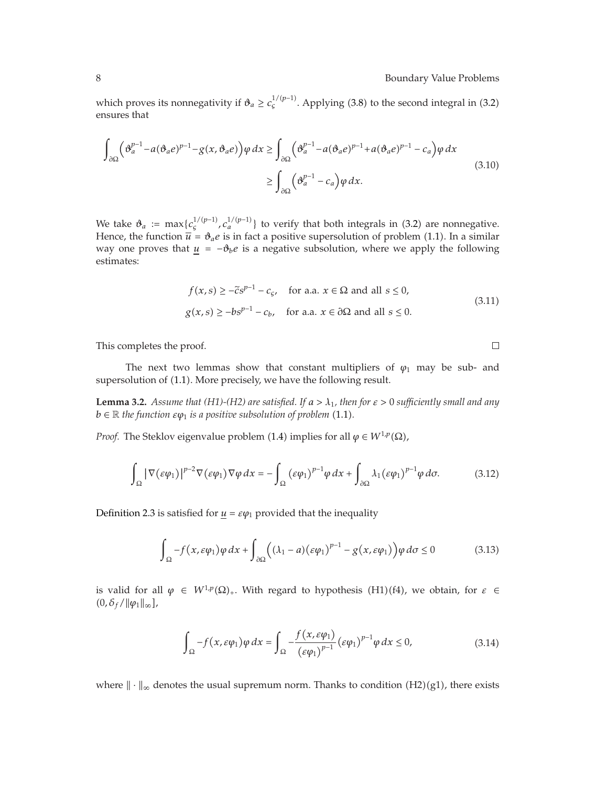which proves its nonnegativity if  $\vartheta_a \geq c_s^{1/(p-1)}$ . Applying (3.8) to the second integral in (3.2) ensures that

$$
\int_{\partial\Omega} \left( \vartheta_a^{p-1} - a(\vartheta_a e)^{p-1} - g(x, \vartheta_a e) \right) \varphi \, dx \ge \int_{\partial\Omega} \left( \vartheta_a^{p-1} - a(\vartheta_a e)^{p-1} + a(\vartheta_a e)^{p-1} - c_a \right) \varphi \, dx
$$
\n
$$
\ge \int_{\partial\Omega} \left( \vartheta_a^{p-1} - c_a \right) \varphi \, dx. \tag{3.10}
$$

We take  $\vartheta_a := \max\{c_s^{1/(p-1)}, c_a^{1/(p-1)}\}$  to verify that both integrals in (3.2) are nonnegative. Hence, the function  $\overline{u} = \vartheta_a e$  is in fact a positive supersolution of problem (1.1). In a similar way one proves that  $u = -\theta_b e$  is a negative subsolution, where we apply the following estimates:

$$
f(x,s) \ge -\tilde{c}s^{p-1} - c_{\varsigma}, \quad \text{for a.a. } x \in \Omega \text{ and all } s \le 0,
$$
  
 
$$
g(x,s) \ge -bs^{p-1} - c_b, \quad \text{for a.a. } x \in \partial\Omega \text{ and all } s \le 0.
$$
 (3.11)

This completes the proof.

The next two lemmas show that constant multipliers of  $\varphi_1$  may be sub- and supersolution of (1.1). More precisely, we have the following result.

**Lemma 3.2.** *Assume that (H1)-(H2) are satisfied. If*  $a > \lambda_1$ *, then for*  $\varepsilon > 0$  *sufficiently small and any*  $b \in \mathbb{R}$  *the function*  $\varepsilon \varphi_1$  *is a positive subsolution of problem* (1.1).

*Proof.* The Steklov eigenvalue problem (1.4) implies for all  $\varphi \in W^{1,p}(\Omega)$ ,

$$
\int_{\Omega} |\nabla(\varepsilon \varphi_1)|^{p-2} \nabla(\varepsilon \varphi_1) \nabla \varphi \, dx = -\int_{\Omega} (\varepsilon \varphi_1)^{p-1} \varphi \, dx + \int_{\partial \Omega} \lambda_1 (\varepsilon \varphi_1)^{p-1} \varphi \, d\sigma. \tag{3.12}
$$

Definition 2.3 is satisfied for  $u = \varepsilon \varphi_1$  provided that the inequality

$$
\int_{\Omega} -f(x,\varepsilon\varphi_1)\varphi\,dx + \int_{\partial\Omega} \Big((\lambda_1-a)(\varepsilon\varphi_1)^{p-1} - g(x,\varepsilon\varphi_1)\Big)\varphi\,d\sigma \le 0\tag{3.13}
$$

is valid for all  $\varphi \in W^{1,p}(\Omega)_+$ . With regard to hypothesis (H1)(f4), we obtain, for  $\varepsilon \in$  $(0,\delta_f/\|\varphi_1\|_{\infty}],$ 

$$
\int_{\Omega} -f(x,\varepsilon\varphi_1)\varphi\,dx = \int_{\Omega} -\frac{f(x,\varepsilon\varphi_1)}{(\varepsilon\varphi_1)^{p-1}}(\varepsilon\varphi_1)^{p-1}\varphi\,dx \le 0,\tag{3.14}
$$

where  $\|\cdot\|_{\infty}$  denotes the usual supremum norm. Thanks to condition (H2)(g1), there exists

 $\Box$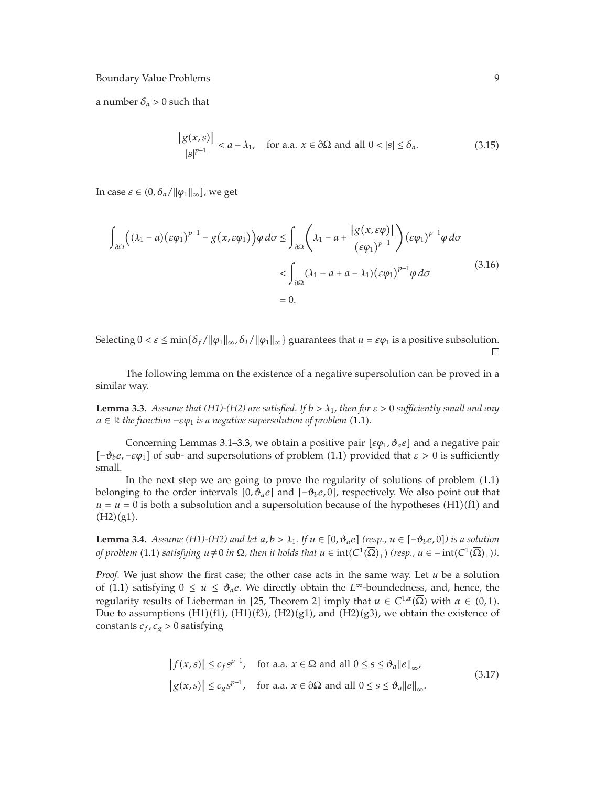a number  $\delta_a > 0$  such that

$$
\frac{|g(x,s)|}{|s|^{p-1}} < a - \lambda_1, \quad \text{for a.a. } x \in \partial\Omega \text{ and all } 0 < |s| \le \delta_a.
$$
 (3.15)

In case  $\varepsilon \in (0, \delta_a / ||\varphi_1||_{\infty}]$ , we get

$$
\int_{\partial\Omega} \left( (\lambda_1 - a)(\varepsilon \varphi_1)^{p-1} - g(x, \varepsilon \varphi_1) \right) \varphi \, d\sigma \le \int_{\partial\Omega} \left( \lambda_1 - a + \frac{|g(x, \varepsilon \varphi)|}{(\varepsilon \varphi_1)^{p-1}} \right) (\varepsilon \varphi_1)^{p-1} \varphi \, d\sigma
$$
\n
$$
< \int_{\partial\Omega} (\lambda_1 - a + a - \lambda_1) (\varepsilon \varphi_1)^{p-1} \varphi \, d\sigma
$$
\n
$$
= 0.
$$
\n(3.16)

Selecting  $0 < \varepsilon \le \min{\{\delta_f / \|\varphi_1\|_{\infty}, \delta_{\lambda}/\|\varphi_1\|_{\infty}\}}$  guarantees that  $\underline{u} = \varepsilon \varphi_1$  is a positive subsolution.  $\Box$ 

The following lemma on the existence of a negative supersolution can be proved in a similar way.

**Lemma 3.3.** *Assume that (H1)-(H2) are satisfied. If*  $b > \lambda_1$ *, then for*  $\varepsilon > 0$  *sufficiently small and any*  $a \in \mathbb{R}$  *the function*  $-\varepsilon \varphi_1$  *is a negative supersolution of problem* (1.1)*.* 

Concerning Lemmas 3.1–3.3, we obtain a positive pair  $[\varepsilonφ_1, δ_ae]$  and a negative pair  $[-\theta_b e, -εφ_1]$  of sub- and supersolutions of problem (1.1) provided that  $ε > 0$  is sufficiently small.

In the next step we are going to prove the regularity of solutions of problem  $(1.1)$ belonging to the order intervals [0,  $\vartheta_a e$ ] and [− $\vartheta_b e$ , 0], respectively. We also point out that  $u = \overline{u} = 0$  is both a subsolution and a supersolution because of the hypotheses (H1)(f1) and  $(H2)(g1).$ 

**Lemma 3.4.** *Assume (H1)-(H2) and let*  $a, b > \lambda_1$ *. If*  $u \in [0, \vartheta_a e]$  *(resp.,*  $u \in [-\vartheta_b e, 0]$ ) is a solution of problem (1.1) solicitation  $u \neq 0$  in  $O$ , then it holds that  $u \in int(C^1(\overline{O}))$  *(non-a)*  $\in int(C^1(\overline{O}))$ *of problem* (1.1) *satisfying*  $u \neq 0$  *in*  $\Omega$ , then it holds that  $u \in \text{int}(C^1(\overline{\Omega})_+)$  (resp.,  $u \in -\text{int}(C^1(\overline{\Omega})_+)$ ).

*Proof.* We just show the first case; the other case acts in the same way. Let *u* be a solution of (1.1) satisfying  $0 \le u \le \vartheta_a e$ . We directly obtain the *L*∞-boundedness, and, hence, the regularity results of Lieberman in [25, Theorem 2] imply that  $u \in C^{1,\alpha}(\overline{\Omega})$  with  $\alpha \in (0,1)$ . Due to assumptions  $(H1)(f1)$ ,  $(H1)(f3)$ ,  $(H2)(g1)$ , and  $(H2)(g3)$ , we obtain the existence of constants  $c_f$ ,  $c_g > 0$  satisfying

$$
|f(x,s)| \le c_f s^{p-1}, \quad \text{for a.a. } x \in \Omega \text{ and all } 0 \le s \le \vartheta_a ||e||_{\infty},
$$
  

$$
|g(x,s)| \le c_g s^{p-1}, \quad \text{for a.a. } x \in \partial\Omega \text{ and all } 0 \le s \le \vartheta_a ||e||_{\infty}.
$$
 (3.17)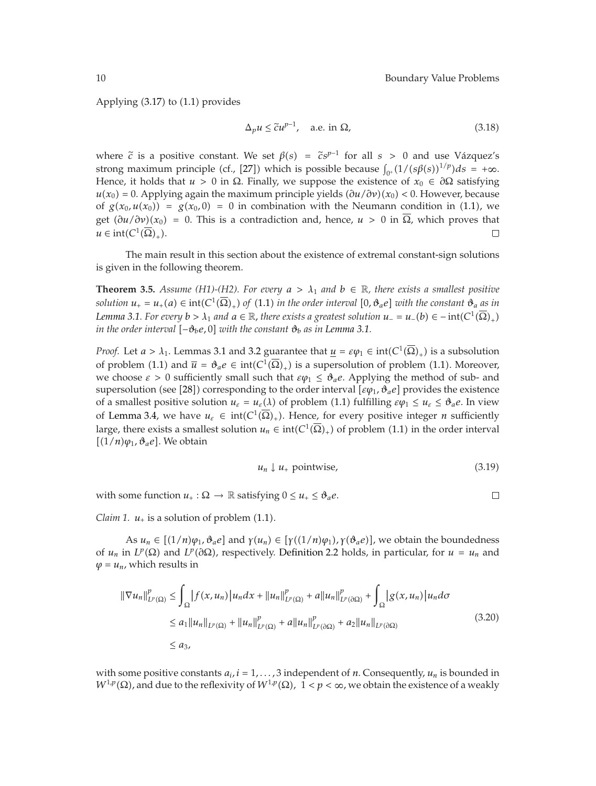Applying  $(3.17)$  to  $(1.1)$  provides

$$
\Delta_p u \le \tilde{c} u^{p-1}, \quad \text{a.e. in } \Omega,\tag{3.18}
$$

where  $\tilde{c}$  is a positive constant. We set  $\beta(s) = \tilde{c}s^{p-1}$  for all  $s > 0$  and use Vázquez's strong maximum principle (cf., [27]) which is possible because  $\int_{0^+}(1/(s\beta(s))^{1/p})ds = +\infty$ . Hence, it holds that  $u > 0$  in  $\Omega$ . Finally, we suppose the existence of  $x_0 \in \partial \Omega$  satisfying  $u(x_0) = 0$ . Applying again the maximum principle yields  $\frac{\partial u}{\partial y}(x_0) < 0$ . However, because of  $g(x_0, u(x_0)) = g(x_0, 0) = 0$  in combination with the Neumann condition in (1.1), we get  $(\partial u/\partial v)(x_0) = 0$ . This is a contradiction and, hence,  $u > 0$  in  $\overline{\Omega}$ , which proves that  $u \in \text{int}(C^1(\overline{\Omega})_+)$ .  $\Box$ 

The main result in this section about the existence of extremal constant-sign solutions is given in the following theorem.

**Theorem 3.5.** *Assume (H1)-(H2). For every*  $a > \lambda_1$  *and*  $b \in \mathbb{R}$ *, there exists a smallest positive solution*  $u_+ = u_+(a) \in \text{int}(C^1(\Omega)_+)$  *of*  $(1.1)$  *in the order interval*  $[0, \vartheta_a e]$  *with the constant*  $\vartheta_a$  *as in Lemma* 3.1. For every  $b > \lambda_1$  *and*  $a \in \mathbb{R}$ , there exists a greatest solution  $u_-=u_-(b) \in -int(C^1(\overline{\Omega})_+)$ *in the order interval* −*ϑbe,* 0 *with the constant ϑb as in Lemma 3.1.*

*Proof.* Let  $a > \lambda_1$ . Lemmas 3.1 and 3.2 guarantee that  $u = \varepsilon \varphi_1 \in \text{int}(C^1(\overline{\Omega})_+)$  is a subsolution of problem (1.1) and  $\overline{u} = \vartheta_a e \in \text{int}(C^1(\Omega)_+)$  is a supersolution of problem (1.1). Moreover, we choose  $\epsilon > 0$  sufficiently small such that  $\varepsilon \varphi_1 \leq \vartheta_a e$ . Applying the method of sub- and supersolution (see [28]) corresponding to the order interval [ $\varepsilon$ φ<sub>1</sub>,  $\vartheta$ <sub>a</sub>e] provides the existence of a smallest positive solution  $u_{\varepsilon} = u_{\varepsilon}(\lambda)$  of problem (1.1) fulfilling  $\varepsilon \varphi_1 \leq u_{\varepsilon} \leq \vartheta_a e$ . In view of Lemma 3.4, we have  $u_{\varepsilon} \in \text{int}(C^1(\overline{\Omega})_+)$ . Hence, for every positive integer *n* sufficiently large, there exists a smallest solution  $u_n \in \text{int}(C^1(\overline{\Omega})_+)$  of problem (1.1) in the order interval  $[(1/n)\varphi_1, \vartheta_a e]$ . We obtain

$$
u_n \downarrow u_+ \text{ pointwise,} \tag{3.19}
$$

with some function  $u_+ : \Omega \to \mathbb{R}$  satisfying  $0 \le u_+ \le \vartheta_a e$ .  $\Box$ 

*Claim 1.*  $u_+$  is a solution of problem (1.1).

As  $u_n \in [(1/n)\varphi_1, \vartheta_a e]$  and  $\gamma(u_n) \in [\gamma((1/n)\varphi_1), \gamma(\vartheta_a e)]$ , we obtain the boundedness of *u<sub>n</sub>* in *L<sup>p</sup>*( $\Omega$ ) and *L<sup>p</sup>*( $\partial\Omega$ ), respectively. Definition 2.2 holds, in particular, for *u* = *u<sub>n</sub>* and  $\varphi = u_n$ , which results in

$$
\|\nabla u_{n}\|_{L^{p}(\Omega)}^{p} \leq \int_{\Omega} |f(x, u_{n})| u_{n} dx + \|u_{n}\|_{L^{p}(\Omega)}^{p} + a \|u_{n}\|_{L^{p}(\partial\Omega)}^{p} + \int_{\Omega} |g(x, u_{n})| u_{n} d\sigma
$$
  
\n
$$
\leq a_{1} \|u_{n}\|_{L^{p}(\Omega)} + \|u_{n}\|_{L^{p}(\Omega)}^{p} + a \|u_{n}\|_{L^{p}(\partial\Omega)}^{p} + a_{2} \|u_{n}\|_{L^{p}(\partial\Omega)} \tag{3.20}
$$
  
\n
$$
\leq a_{3},
$$

with some positive constants  $a_i$ ,  $i = 1, \ldots, 3$  independent of *n*. Consequently,  $u_n$  is bounded in  $W^{1,p}(\Omega)$ , and due to the reflexivity of  $W^{1,p}(\Omega)$ ,  $1 < p < \infty$ , we obtain the existence of a weakly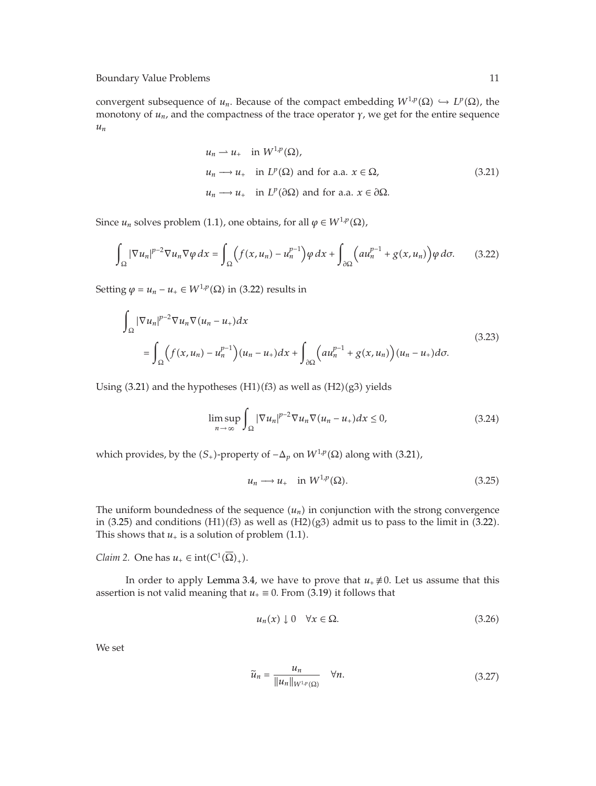convergent subsequence of  $u_n$ . Because of the compact embedding  $W^{1,p}(\Omega) \hookrightarrow L^p(\Omega)$ , the monotony of *un*, and the compactness of the trace operator *γ*, we get for the entire sequence *un*

$$
u_n \rightharpoonup u_+ \quad \text{in } W^{1,p}(\Omega),
$$
\n
$$
u_n \rightharpoonup u_+ \quad \text{in } L^p(\Omega) \text{ and for a.a. } x \in \Omega,
$$
\n
$$
u_n \rightharpoonup u_+ \quad \text{in } L^p(\partial \Omega) \text{ and for a.a. } x \in \partial \Omega.
$$
\n
$$
(3.21)
$$

Since *u<sub>n</sub>* solves problem (1.1), one obtains, for all  $\varphi \in W^{1,p}(\Omega)$ ,

$$
\int_{\Omega} |\nabla u_n|^{p-2} \nabla u_n \nabla \varphi \, dx = \int_{\Omega} \left( f(x, u_n) - u_n^{p-1} \right) \varphi \, dx + \int_{\partial \Omega} \left( a u_n^{p-1} + g(x, u_n) \right) \varphi \, d\sigma. \tag{3.22}
$$

Setting  $\varphi = u_n - u_+ \in W^{1,p}(\Omega)$  in (3.22) results in

$$
\int_{\Omega} |\nabla u_n|^{p-2} \nabla u_n \nabla (u_n - u_+) dx
$$
\n
$$
= \int_{\Omega} \left( f(x, u_n) - u_n^{p-1} \right) (u_n - u_+) dx + \int_{\partial \Omega} \left( a u_n^{p-1} + g(x, u_n) \right) (u_n - u_+) d\sigma.
$$
\n(3.23)

Using  $(3.21)$  and the hypotheses  $(H1)(f3)$  as well as  $(H2)(g3)$  yields

$$
\limsup_{n \to \infty} \int_{\Omega} |\nabla u_n|^{p-2} \nabla u_n \nabla (u_n - u_+) dx \le 0,
$$
\n(3.24)

which provides, by the  $(S_+)$ -property of  $-∆_p$  on  $W^{1,p}(Ω)$  along with (3.21),

$$
u_n \longrightarrow u_+ \quad \text{in } W^{1,p}(\Omega). \tag{3.25}
$$

The uniform boundedness of the sequence  $(u_n)$  in conjunction with the strong convergence in  $(3.25)$  and conditions  $(H1)(f3)$  as well as  $(H2)(g3)$  admit us to pass to the limit in  $(3.22)$ . This shows that  $u_+$  is a solution of problem  $(1.1)$ .

*Claim 2.* One has  $u_+ \in \text{int}(C^1(\overline{\Omega})_+).$ 

In order to apply Lemma 3.4, we have to prove that  $u_+ \neq 0$ . Let us assume that this assertion is not valid meaning that  $u_+ \equiv 0$ . From (3.19) it follows that

$$
u_n(x) \downarrow 0 \quad \forall x \in \Omega. \tag{3.26}
$$

We set

$$
\widetilde{u}_n = \frac{u_n}{\|u_n\|_{W^{1,p}(\Omega)}} \quad \forall n. \tag{3.27}
$$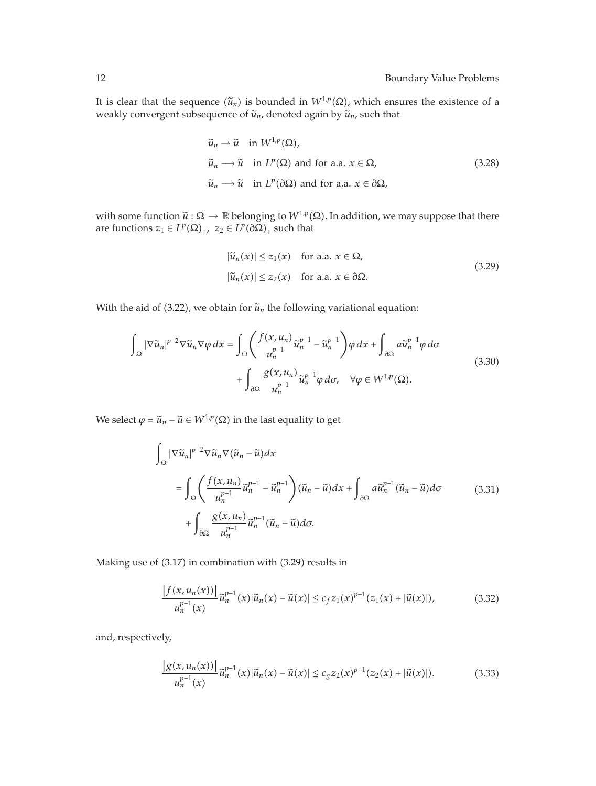It is clear that the sequence  $(\tilde{u}_n)$  is bounded in  $W^{1,p}(\Omega)$ , which ensures the existence of a weakly convergent subsequence of  $\tilde{u}_n$ , denoted again by  $\tilde{u}_n$ , such that

$$
\widetilde{u}_n \rightharpoonup \widetilde{u} \quad \text{in } W^{1,p}(\Omega),
$$
\n
$$
\widetilde{u}_n \rightharpoonup \widetilde{u} \quad \text{in } L^p(\Omega) \text{ and for a.a. } x \in \Omega,
$$
\n
$$
\widetilde{u}_n \rightharpoonup \widetilde{u} \quad \text{in } L^p(\partial \Omega) \text{ and for a.a. } x \in \partial \Omega,
$$
\n(3.28)

with some function  $\tilde{u}: \Omega \to \mathbb{R}$  belonging to  $W^{1,p}(\Omega)$ . In addition, we may suppose that there are functions  $z_1 \in L^p(\Omega)_+$ ,  $z_2 \in L^p(\partial \Omega)_+$  such that

$$
|\tilde{u}_n(x)| \le z_1(x) \quad \text{for a.a. } x \in \Omega,
$$
  

$$
|\tilde{u}_n(x)| \le z_2(x) \quad \text{for a.a. } x \in \partial\Omega.
$$
 (3.29)

With the aid of (3.22), we obtain for  $\tilde{u}_n$  the following variational equation:

$$
\int_{\Omega} |\nabla \widetilde{u}_{n}|^{p-2} \nabla \widetilde{u}_{n} \nabla \varphi \, dx = \int_{\Omega} \left( \frac{f(x, u_{n})}{u_{n}^{p-1}} \widetilde{u}_{n}^{p-1} - \widetilde{u}_{n}^{p-1} \right) \varphi \, dx + \int_{\partial \Omega} a \widetilde{u}_{n}^{p-1} \varphi \, d\sigma + \int_{\partial \Omega} \frac{g(x, u_{n})}{u_{n}^{p-1}} \widetilde{u}_{n}^{p-1} \varphi \, d\sigma, \quad \forall \varphi \in W^{1, p}(\Omega).
$$
\n(3.30)

We select  $\varphi = \tilde{u}_n - \tilde{u} \in W^{1,p}(\Omega)$  in the last equality to get

$$
\int_{\Omega} |\nabla \widetilde{u}_{n}|^{p-2} \nabla \widetilde{u}_{n} \nabla (\widetilde{u}_{n} - \widetilde{u}) dx
$$
\n
$$
= \int_{\Omega} \left( \frac{f(x, u_{n})}{u_{n}^{p-1}} \widetilde{u}_{n}^{p-1} - \widetilde{u}_{n}^{p-1} \right) (\widetilde{u}_{n} - \widetilde{u}) dx + \int_{\partial \Omega} a \widetilde{u}_{n}^{p-1} (\widetilde{u}_{n} - \widetilde{u}) d\sigma + \int_{\partial \Omega} \frac{g(x, u_{n})}{u_{n}^{p-1}} \widetilde{u}_{n}^{p-1} (\widetilde{u}_{n} - \widetilde{u}) d\sigma.
$$
\n(3.31)

Making use of (3.17) in combination with (3.29) results in

$$
\frac{|f(x, u_n(x))|}{u_n^{p-1}(x)}\tilde{u}_n^{p-1}(x)|\tilde{u}_n(x) - \tilde{u}(x)| \le c_f z_1(x)^{p-1}(z_1(x) + |\tilde{u}(x)|),
$$
\n(3.32)

and, respectively,

$$
\frac{|g(x, u_n(x))|}{u_n^{p-1}(x)}\tilde{u}_n^{p-1}(x)|\tilde{u}_n(x) - \tilde{u}(x)| \le c_g z_2(x)^{p-1}(z_2(x) + |\tilde{u}(x)|). \tag{3.33}
$$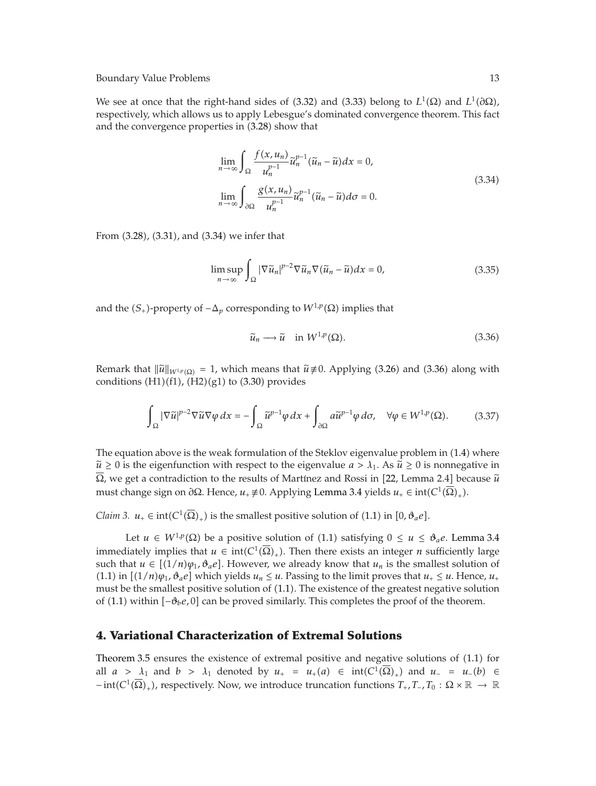We see at once that the right-hand sides of (3.32) and (3.33) belong to  $L^1(\Omega)$  and  $L^1(\partial\Omega)$ , respectively, which allows us to apply Lebesgue's dominated convergence theorem. This fact and the convergence properties in  $(3.28)$  show that

$$
\lim_{n \to \infty} \int_{\Omega} \frac{f(x, u_n)}{u_n^{p-1}} \tilde{u}_n^{p-1} (\tilde{u}_n - \tilde{u}) dx = 0,
$$
\n
$$
\lim_{n \to \infty} \int_{\partial \Omega} \frac{g(x, u_n)}{u_n^{p-1}} \tilde{u}_n^{p-1} (\tilde{u}_n - \tilde{u}) d\sigma = 0.
$$
\n(3.34)

From  $(3.28)$ ,  $(3.31)$ , and  $(3.34)$  we infer that

$$
\limsup_{n \to \infty} \int_{\Omega} |\nabla \tilde{u}_n|^{p-2} \nabla \tilde{u}_n \nabla (\tilde{u}_n - \tilde{u}) dx = 0,
$$
\n(3.35)

and the  $(S_+)$ -property of  $-\Delta_p$  corresponding to  $W^{1,p}(\Omega)$  implies that

$$
\widetilde{u}_n \longrightarrow \widetilde{u} \quad \text{in } W^{1,p}(\Omega). \tag{3.36}
$$

Remark that  $\|\tilde{u}\|_{W^{1,p}(\Omega)} = 1$ , which means that  $\tilde{u} \neq 0$ . Applying (3.26) and (3.36) along with conditions  $(H1)(f1)$ ,  $(H2)(g1)$  to  $(3.30)$  provides

$$
\int_{\Omega} |\nabla \widetilde{u}|^{p-2} \nabla \widetilde{u} \nabla \varphi \, dx = -\int_{\Omega} \widetilde{u}^{p-1} \varphi \, dx + \int_{\partial \Omega} a \widetilde{u}^{p-1} \varphi \, d\sigma, \quad \forall \varphi \in W^{1,p}(\Omega). \tag{3.37}
$$

The equation above is the weak formulation of the Steklov eigenvalue problem in  $(1.4)$  where  $\tilde{u} \geq 0$  is the eigenfunction with respect to the eigenvalue  $a > \lambda_1$ . As  $\tilde{u} \geq 0$  is nonnegative in  $Ω$ , we get a contradiction to the results of Martínez and Rossi in [22, Lemma 2*.*4] because  $\tilde{u}$ must change sign on *∂*Ω. Hence,  $u_+ \neq 0$ . Applying Lemma 3.4 yields  $u_+ \in int(C^1(\overline{Ω})_+)$ .

*Claim 3.*  $u_+ \in \text{int}(C^1(\overline{\Omega})_+)$  is the smallest positive solution of (1.1) in  $[0, \vartheta_a e]$ .

Let *u* ∈ *W*<sup>1</sup>*,p*</sup>(Ω) be a positive solution of (1.1) satisfying 0 ≤ *u* ≤ *θ*<sub>*a*</sub>*e*. Lemma 3.4 immediately implies that  $u \in \text{int}(C^1(\overline{\Omega})_+)$ . Then there exists an integer *n* sufficiently large such that  $u \in [(1/n)\varphi_1, \vartheta_a e]$ . However, we already know that  $u_n$  is the smallest solution of  $(1.1)$  in  $[(1/n)\varphi_1, \vartheta_a e]$  which yields  $u_n \leq u$ . Passing to the limit proves that  $u_+ \leq u$ . Hence,  $u_+$ must be the smallest positive solution of  $(1.1)$ . The existence of the greatest negative solution of  $(1.1)$  within  $[-\mathcal{O}_b e, 0]$  can be proved similarly. This completes the proof of the theorem.

## **4. Variational Characterization of Extremal Solutions**

Theorem 3.5 ensures the existence of extremal positive and negative solutions of  $(1.1)$  for all  $a > \lambda_1$  and  $b > \lambda_1$  denoted by  $u_+ = u_+(a) \in \text{int}(C^1(\Omega)_+)$  and  $u_- = u_-(b) \in$  $-\text{int}(C^1(\overline{\Omega})_+)$ , respectively. Now, we introduce truncation functions  $T_+$ ,  $T_-\$ ,  $T_0$  :  $\Omega \times \mathbb{R} \to \mathbb{R}$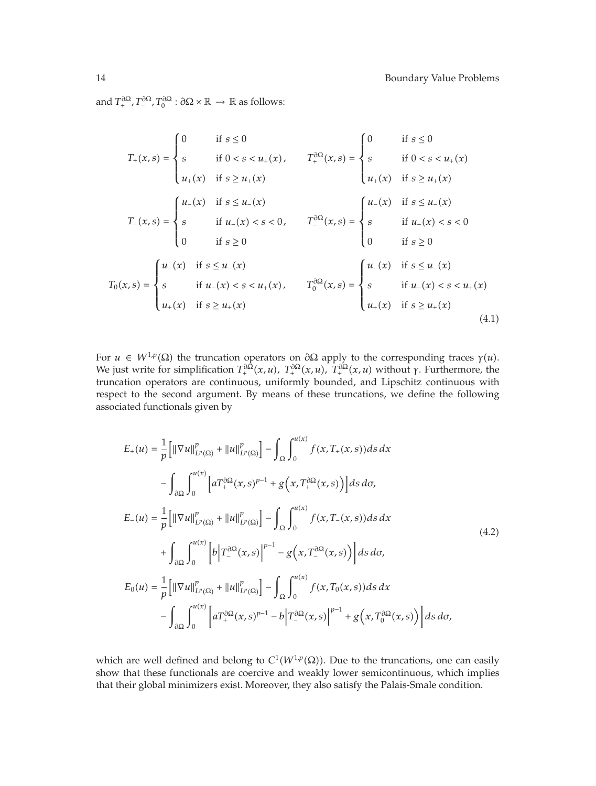and  $T^{\partial\Omega}_+$ ,  $T^{\partial\Omega}_-$ ,  $T^{\partial\Omega}_0$  :  $\partial\Omega \times \mathbb{R} \to \mathbb{R}$  as follows:

$$
T_{+}(x,s) = \begin{cases} 0 & \text{if } s \leq 0 \\ s & \text{if } 0 < s < u_{+}(x), \\ u_{+}(x) & \text{if } s \geq u_{+}(x) \end{cases} \qquad T_{+}^{\partial\Omega}(x,s) = \begin{cases} 0 & \text{if } s \leq 0 \\ s & \text{if } 0 < s < u_{+}(x) \\ u_{+}(x) & \text{if } s \geq u_{+}(x) \end{cases}
$$

$$
T_{-}(x,s) = \begin{cases} u_{-}(x) & \text{if } s \leq u_{-}(x) \\ s & \text{if } u_{-}(x) < s < 0, \\ 0 & \text{if } s \geq 0 \end{cases} \qquad T_{-}^{\partial\Omega}(x,s) = \begin{cases} u_{-}(x) & \text{if } s \leq u_{-}(x) \\ s & \text{if } u_{-}(x) < s < 0 \\ 0 & \text{if } s \geq 0 \end{cases}
$$

$$
T_{0}(x,s) = \begin{cases} u_{-}(x) & \text{if } s \leq u_{-}(x) \\ s & \text{if } u_{-}(x) < s < u_{+}(x) \\ u_{+}(x) & \text{if } s \geq u_{+}(x) \end{cases} \qquad T_{0}^{\partial\Omega}(x,s) = \begin{cases} u_{-}(x) & \text{if } s \leq u_{-}(x) \\ s & \text{if } u_{-}(x) < s < u_{+}(x) \\ u_{+}(x) & \text{if } s \geq u_{+}(x) \end{cases} \qquad (4.1)
$$

For  $u \in W^{1,p}(\Omega)$  the truncation operators on  $\partial \Omega$  apply to the corresponding traces  $\gamma(u)$ . We just write for simplification  $T^{\partial \Omega}_+(x,u)$ ,  $T^{\partial \Omega}_+(x,u)$ ,  $T^{\partial \Omega}_+(x,u)$  without *γ*. Furthermore, the truncation operators are continuous, uniformly bounded, and Lipschitz continuous with respect to the second argument. By means of these truncations, we define the following associated functionals given by

$$
E_{+}(u) = \frac{1}{p} \left[ \|\nabla u\|_{L^{p}(\Omega)}^{p} + \|u\|_{L^{p}(\Omega)}^{p} \right] - \int_{\Omega} \int_{0}^{u(x)} f(x, T_{+}(x, s)) ds dx
$$
  
\n
$$
- \int_{\partial\Omega} \int_{0}^{u(x)} \left[ a T_{+}^{\partial\Omega} (x, s)^{p-1} + g(x, T_{+}^{\partial\Omega} (x, s)) \right] ds d\sigma,
$$
  
\n
$$
E_{-}(u) = \frac{1}{p} \left[ \|\nabla u\|_{L^{p}(\Omega)}^{p} + \|u\|_{L^{p}(\Omega)}^{p} \right] - \int_{\Omega} \int_{0}^{u(x)} f(x, T_{-}(x, s)) ds dx
$$
  
\n
$$
+ \int_{\partial\Omega} \int_{0}^{u(x)} \left[ b \left| T_{-}^{\partial\Omega} (x, s) \right|^{p-1} - g(x, T_{-}^{\partial\Omega} (x, s)) \right] ds d\sigma,
$$
  
\n
$$
E_{0}(u) = \frac{1}{p} \left[ \|\nabla u\|_{L^{p}(\Omega)}^{p} + \|u\|_{L^{p}(\Omega)}^{p} \right] - \int_{\Omega} \int_{0}^{u(x)} f(x, T_{0}(x, s)) ds dx
$$
  
\n
$$
- \int_{\partial\Omega} \int_{0}^{u(x)} \left[ a T_{+}^{\partial\Omega} (x, s)^{p-1} - b \right] T_{-}^{\partial\Omega} (x, s) \Big|^{p-1} + g(x, T_{0}^{\partial\Omega} (x, s)) \right] ds d\sigma,
$$
  
\n(4.2)

which are well defined and belong to  $C^1(W^{1,p}(\Omega))$ . Due to the truncations, one can easily show that these functionals are coercive and weakly lower semicontinuous, which implies that their global minimizers exist. Moreover, they also satisfy the Palais-Smale condition.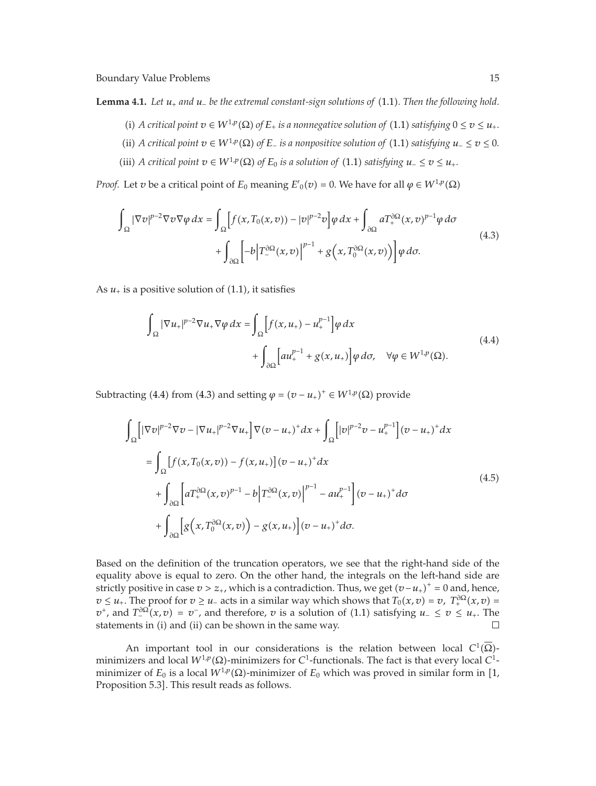**Lemma 4.1.** *Let*  $u_+$  *and*  $u_-$  *be the extremal constant-sign solutions of* (1.1)*. Then the following hold.* 

- (i) *A critical point*  $v \in W^{1,p}(\Omega)$  *of*  $E_+$  *is a nonnegative solution of* (1.1) *satisfying*  $0 \le v \le u_+$ *.*
- ii) *A critical point*  $v \in W^{1,p}(\Omega)$  *of*  $E_$  *is a nonpositive solution of* (1.1) *satisfying*  $u_$  ≤  $v$  ≤ 0*.*
- (iii) *A critical point*  $v \in W^{1,p}(\Omega)$  *of*  $E_0$  *is a solution of* (1.1) *satisfying*  $u_-\leq v \leq u_+$ *.*

*Proof.* Let *v* be a critical point of  $E_0$  meaning  $E'(v) = 0$ . We have for all  $\varphi \in W^{1,p}(\Omega)$ 

$$
\int_{\Omega} |\nabla v|^{p-2} \nabla v \nabla \varphi \, dx = \int_{\Omega} \left[ f(x, T_0(x, v)) - |v|^{p-2} v \right] \varphi \, dx + \int_{\partial \Omega} a T_+^{\partial \Omega} (x, v)^{p-1} \varphi \, d\sigma \n+ \int_{\partial \Omega} \left[ -b \left| T_-^{\partial \Omega} (x, v) \right|^{p-1} + g(x, T_0^{\partial \Omega} (x, v)) \right] \varphi \, d\sigma.
$$
\n(4.3)

As  $u_+$  is a positive solution of  $(1.1)$ , it satisfies

$$
\int_{\Omega} |\nabla u_{+}|^{p-2} \nabla u_{+} \nabla \varphi \, dx = \int_{\Omega} \left[ f(x, u_{+}) - u_{+}^{p-1} \right] \varphi \, dx
$$
\n
$$
+ \int_{\partial \Omega} \left[ a u_{+}^{p-1} + g(x, u_{+}) \right] \varphi \, d\sigma, \quad \forall \varphi \in W^{1, p}(\Omega). \tag{4.4}
$$

Subtracting (4.4) from (4.3) and setting  $\varphi = (v - u_+)^+ \in W^{1,p}(\Omega)$  provide

$$
\int_{\Omega} \left[ |\nabla v|^{p-2} \nabla v - |\nabla u_+|^{p-2} \nabla u_+ \right] \nabla (v - u_+)^+ dx + \int_{\Omega} \left[ |v|^{p-2} v - u_+^{p-1} \right] (v - u_+)^+ dx
$$
\n
$$
= \int_{\Omega} \left[ f(x, T_0(x, v)) - f(x, u_+) \right] (v - u_+)^+ dx
$$
\n
$$
+ \int_{\partial \Omega} \left[ a T_+^{\partial \Omega} (x, v)^{p-1} - b \right] T_-^{\partial \Omega} (x, v) \Big|^{p-1} - a u_+^{p-1} \right] (v - u_+) + d\sigma
$$
\n
$$
+ \int_{\partial \Omega} \left[ g(x, T_0^{\partial \Omega} (x, v)) - g(x, u_+) \right] (v - u_+) + d\sigma.
$$
\n(4.5)

Based on the definition of the truncation operators, we see that the right-hand side of the equality above is equal to zero. On the other hand, the integrals on the left-hand side are strictly positive in case  $v > z_+$ , which is a contradiction. Thus, we get  $(v - u_+)$ <sup>+</sup> = 0 and, hence,  $v \leq u_+$ . The proof for  $v \geq u_-$  acts in a similar way which shows that  $T_0(x,v) = v$ ,  $T_+^{\partial\Omega}(x,v) = v_+^{\partial\Omega}$ *v*<sup>+</sup>, and  $T_{-}^{\partial\Omega}(x,v) = v^-$ , and therefore, *v* is a solution of (1.1) satisfying *u*− ≤ *v* ≤ *u*<sub>+</sub>. The statements in  $(i)$  and  $(ii)$  can be shown in the same way.  $\Box$ 

An important tool in our considerations is the relation between local  $C^1(\overline{\Omega})$ minimizers and local *W*<sup>1</sup>*,p*Ω-minimizers for *C*1-functionals. The fact is that every local *C*1 minimizer of  $E_0$  is a local  $W^{1,p}(\Omega)$ -minimizer of  $E_0$  which was proved in similar form in [1, Proposition 5*.*3 . This result reads as follows.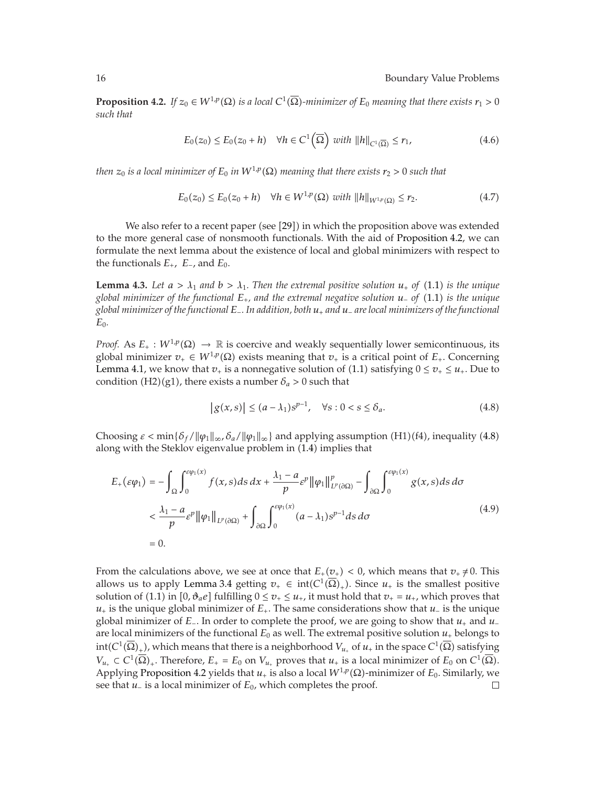**Proposition 4.2.** *If*  $z_0 \in W^{1,p}(\Omega)$  *is a local*  $C^1(\overline{\Omega})$ *-minimizer of*  $E_0$  *meaning that there exists*  $r_1 > 0$ *such that*

$$
E_0(z_0) \le E_0(z_0 + h) \quad \forall h \in C^1(\overline{\Omega}) \text{ with } ||h||_{C^1(\overline{\Omega})} \le r_1,\tag{4.6}
$$

*then*  $z_0$  *is a local minimizer of*  $E_0$  *in*  $W^{1,p}(\Omega)$  *meaning that there exists*  $r_2 > 0$  *such that* 

$$
E_0(z_0) \le E_0(z_0 + h) \quad \forall h \in W^{1,p}(\Omega) \text{ with } ||h||_{W^{1,p}(\Omega)} \le r_2. \tag{4.7}
$$

We also refer to a recent paper (see [29]) in which the proposition above was extended to the more general case of nonsmooth functionals. With the aid of Proposition 4.2, we can formulate the next lemma about the existence of local and global minimizers with respect to the functionals  $E_+$ ,  $E_-$ , and  $E_0$ .

**Lemma 4.3.** Let  $a > \lambda_1$  and  $b > \lambda_1$ . Then the extremal positive solution  $u_+$  of (1.1) is the unique *global minimizer of the functional E, and the extremal negative solution u*<sup>−</sup> *of* 1.1 *is the unique global minimizer of the functional E*−*. In addition, both u and u*<sup>−</sup> *are local minimizers of the functional*  $E_0$ .

*Proof.* As  $E_+ : W^{1,p}(\Omega) \to \mathbb{R}$  is coercive and weakly sequentially lower semicontinuous, its global minimizer  $v_+ \in W^{1,p}(\Omega)$  exists meaning that  $v_+$  is a critical point of  $E_+$ . Concerning Lemma 4.1, we know that  $v_+$  is a nonnegative solution of (1.1) satisfying  $0 \le v_+ \le u_+$ . Due to condition (H2)(g1), there exists a number  $\delta_a > 0$  such that

$$
|g(x,s)| \le (a - \lambda_1)s^{p-1}, \quad \forall s : 0 < s \le \delta_a. \tag{4.8}
$$

Choosing  $\varepsilon < \min{\{\delta_f / \|\varphi_1\|_{\infty}, \delta_a / \|\varphi_1\|_{\infty}\}}$  and applying assumption (H1)(f4), inequality (4.8) along with the Steklov eigenvalue problem in  $(1.4)$  implies that

$$
E_{+}(\varepsilon\varphi_{1}) = -\int_{\Omega} \int_{0}^{\varepsilon\varphi_{1}(x)} f(x, s) ds dx + \frac{\lambda_{1} - a}{p} \varepsilon^{p} ||\varphi_{1}||_{L^{p}(\partial\Omega)}^{p} - \int_{\partial\Omega} \int_{0}^{\varepsilon\varphi_{1}(x)} g(x, s) ds d\sigma
$$
  

$$
< \frac{\lambda_{1} - a}{p} \varepsilon^{p} ||\varphi_{1}||_{L^{p}(\partial\Omega)} + \int_{\partial\Omega} \int_{0}^{\varepsilon\varphi_{1}(x)} (a - \lambda_{1}) \varepsilon^{p-1} ds d\sigma
$$
  
= 0. (4.9)

From the calculations above, we see at once that  $E_+(v_+)<0$ , which means that  $v_+\neq 0$ . This allows us to apply Lemma 3.4 getting  $v_+ \in \text{int}(C^1(\overline{\Omega})_+)$ . Since  $u_+$  is the smallest positive solution of (1.1) in  $[0, \vartheta_a e]$  fulfilling  $0 \le v_+ \le u_+$ , it must hold that  $v_+ = u_+$ , which proves that  $u_{+}$  is the unique global minimizer of  $E_{+}$ . The same considerations show that  $u_{-}$  is the unique global minimizer of *E*<sub>−</sub>. In order to complete the proof, we are going to show that *u*<sub>+</sub> and *u*<sub>−</sub> are local minimizers of the functional  $E_0$  as well. The extremal positive solution  $u_+$  belongs to  $int(C^1(\overline{\Omega})_+)$ , which means that there is a neighborhood  $V_{u_+}$  of  $u_+$  in the space  $C^1(\overline{\Omega})$  satisfying  $V_{u_{+}} \subset C^{1}(\overline{\Omega})_{+}$ . Therefore,  $E_{+} = E_{0}$  on  $V_{u_{+}}$  proves that  $u_{+}$  is a local minimizer of  $E_{0}$  on  $C^{1}(\overline{\Omega})$ . Applying Proposition 4.2 yields that  $u_+$  is also a local  $W^{1,p}(\Omega)$ -minimizer of  $E_0$ . Similarly, we see that *u*<sup>−</sup> is a local minimizer of  $E_0$ , which completes the proof.  $\Box$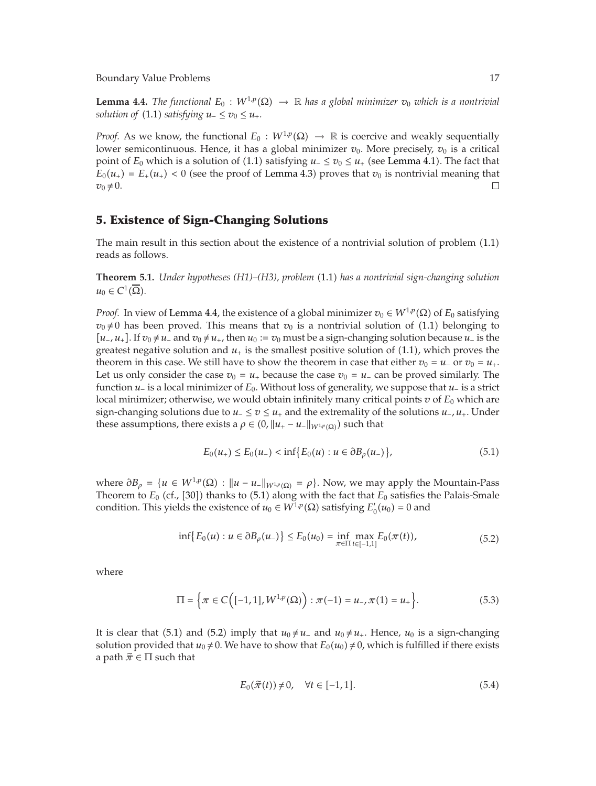**Lemma 4.4.** *The functional*  $E_0: W^{1,p}(\Omega) \to \mathbb{R}$  *has a global minimizer*  $v_0$  *which is a nontrivial solution of* (1.1) *satisfying*  $u_-\leq v_0 \leq u_+$ *.* 

*Proof.* As we know, the functional  $E_0: W^{1,p}(\Omega) \to \mathbb{R}$  is coercive and weakly sequentially lower semicontinuous. Hence, it has a global minimizer  $v_0$ . More precisely,  $v_0$  is a critical point of  $E_0$  which is a solution of (1.1) satisfying  $u_-\leq v_0\leq u_+$  (see Lemma 4.1). The fact that  $E_0(u_+) = E_+(u_+) < 0$  (see the proof of Lemma 4.3) proves that  $v_0$  is nontrivial meaning that  $v_0 \neq 0$ .  $\Box$ 

# **5. Existence of Sign-Changing Solutions**

The main result in this section about the existence of a nontrivial solution of problem  $(1.1)$ reads as follows.

**Theorem 5.1.** *Under hypotheses (H1)–(H3), problem* 1.1 *has a nontrivial sign-changing solution*  $u_0 \in C^1(\overline{\Omega})$ .

*Proof.* In view of Lemma 4.4, the existence of a global minimizer  $v_0 \in W^{1,p}(\Omega)$  of  $E_0$  satisfying  $v_0 \neq 0$  has been proved. This means that  $v_0$  is a nontrivial solution of (1.1) belonging to *u*−*, u*<sub>+</sub>*]*. If *v*<sub>0</sub>  $\neq$  *u*− and *v*<sub>0</sub>  $\neq$  *u*<sub>+</sub>*,* then *u*<sub>0</sub> := *v*<sub>0</sub> must be a sign-changing solution because *u*− is the greatest negative solution and  $u_{+}$  is the smallest positive solution of  $(1.1)$ , which proves the theorem in this case. We still have to show the theorem in case that either  $v_0 = u_-\,$  or  $v_0 = u_+$ . Let us only consider the case  $v_0 = u_+$  because the case  $v_0 = u_-$  can be proved similarly. The function *u*<sup>−</sup> is a local minimizer of *E*0. Without loss of generality, we suppose that *u*<sup>−</sup> is a strict local minimizer; otherwise, we would obtain infinitely many critical points  $v$  of  $E_0$  which are sign-changing solutions due to  $u_-\le v \le u_+$  and the extremality of the solutions  $u_-, u_+$ . Under these assumptions, there exists a  $\rho \in (0, ||u_+ - u_-\|_{W^{1,p}(\Omega)})$  such that

$$
E_0(u_+) \le E_0(u_-) < \inf \{ E_0(u) : u \in \partial B_\rho(u_-) \},\tag{5.1}
$$

where  $∂B<sub>ρ</sub> = {u ∈ W<sup>1,p</sup>(Ω) : ||u − u<sub>−</sub>||<sub>W<sup>1,p</sup>(Ω) = ρ}. Now, we may apply the Mountain-Pass</sub>$ Theorem to  $E_0$  (cf., [30]) thanks to (5.1) along with the fact that  $E_0$  satisfies the Palais-Smale condition. This yields the existence of  $u_0 \in W^{1,p}(\Omega)$  satisfying  $E'_0(u_0) = 0$  and

$$
\inf\{E_0(u): u \in \partial B_\rho(u_-)\} \le E_0(u_0) = \inf_{\pi \in \Pi} \max_{t \in [-1,1]} E_0(\pi(t)),\tag{5.2}
$$

where

$$
\Pi = \left\{ \pi \in C \Big( [-1, 1], W^{1, p}(\Omega) \Big) : \pi(-1) = u_-, \pi(1) = u_+ \right\}.
$$
 (5.3)

It is clear that (5.1) and (5.2) imply that  $u_0 \neq u_-$  and  $u_0 \neq u_+$ . Hence,  $u_0$  is a sign-changing solution provided that  $u_0 \neq 0$ . We have to show that  $E_0(u_0) \neq 0$ , which is fulfilled if there exists a path  $\tilde{\pi} \in \Pi$  such that

$$
E_0(\tilde{\pi}(t)) \neq 0, \quad \forall t \in [-1, 1]. \tag{5.4}
$$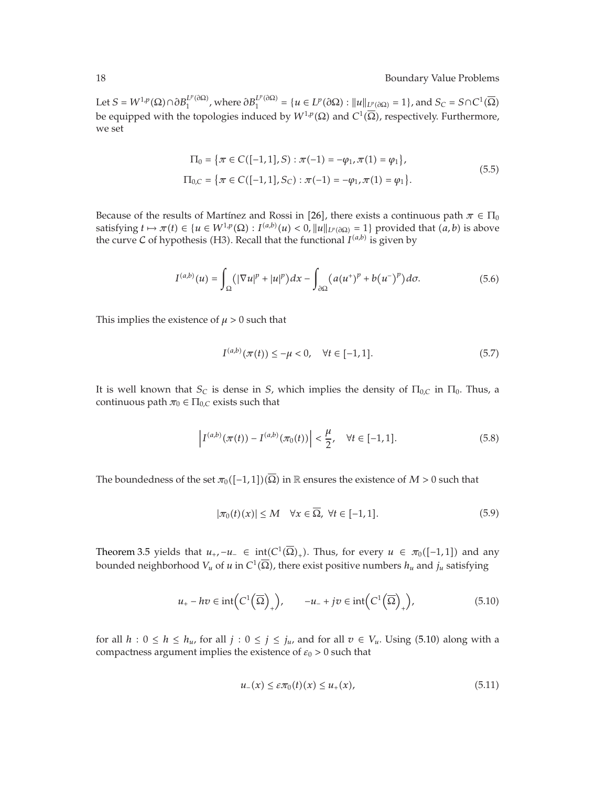$\text{Let } S = W^{1,p}(\Omega) \cap \partial B_1^{L^p(\partial \Omega)}$ , where  $\partial B_1^{L^p(\partial \Omega)} = \{u \in L^p(\partial \Omega) : ||u||_{L^p(\partial \Omega)} = 1\}$ , and  $S_C = S \cap C^1(\overline{\Omega})$ be equipped with the topologies induced by  $W^{1,p}(\Omega)$  and  $C^1(\overline{\Omega})$ , respectively. Furthermore, we set

$$
\Pi_0 = \{ \pi \in C([-1, 1], S) : \pi(-1) = -\varphi_1, \pi(1) = \varphi_1 \},\
$$
  

$$
\Pi_{0,C} = \{ \pi \in C([-1, 1], S_C) : \pi(-1) = -\varphi_1, \pi(1) = \varphi_1 \}.
$$
  
(5.5)

Because of the results of Martínez and Rossi in [26], there exists a continuous path  $\pi \in \Pi_0$ satisfying  $t \mapsto \pi(t) \in \{u \in W^{1,p}(\Omega) : I^{(a,b)}(u) < 0, \|u\|_{L^p(\partial\Omega)} = 1\}$  provided that  $(a, b)$  is above the curve C of hypothesis (H3). Recall that the functional  $I^{(a,b)}$  is given by

$$
I^{(a,b)}(u) = \int_{\Omega} (|\nabla u|^p + |u|^p) dx - \int_{\partial \Omega} (a(u^+)^p + b(u^-)^p) d\sigma.
$$
 (5.6)

This implies the existence of  $\mu > 0$  such that

$$
I^{(a,b)}(\pi(t)) \le -\mu < 0, \quad \forall t \in [-1, 1].\tag{5.7}
$$

It is well known that  $S_C$  is dense in *S*, which implies the density of  $\Pi_{0,C}$  in  $\Pi_{0}$ . Thus, a continuous path  $\pi_0 \in \Pi_{0,C}$  exists such that

$$
\left| I^{(a,b)}(\pi(t)) - I^{(a,b)}(\pi_0(t)) \right| < \frac{\mu}{2}, \quad \forall t \in [-1, 1]. \tag{5.8}
$$

The boundedness of the set  $\pi_0([-1,1])(\overline{\Omega})$  in  ${\mathbb R}$  ensures the existence of  $M>0$  such that

$$
|\pi_0(t)(x)| \le M \quad \forall x \in \Omega, \ \forall t \in [-1, 1]. \tag{5.9}
$$

Theorem 3.5 yields that  $u_+$ ,  $-u_- \in \text{int}(C^1(\overline{\Omega})_+)$ . Thus, for every  $u \in \pi_0([-1,1])$  and any bounded neighborhood  $V_u$  of  $u$  in  $C^1(\overline{\Omega})$ , there exist positive numbers  $h_u$  and  $j_u$  satisfying

$$
u_{+} - hv \in \text{int}\left(C^{1}\left(\overline{\Omega}\right)_{+}\right), \qquad -u_{-} + jv \in \text{int}\left(C^{1}\left(\overline{\Omega}\right)_{+}\right),\tag{5.10}
$$

for all  $h: 0 \le h \le h_u$ , for all  $j: 0 \le j \le j_u$ , and for all  $v \in V_u$ . Using (5.10) along with a compactness argument implies the existence of  $\varepsilon_0 > 0$  such that

$$
u_{-}(x) \leq \varepsilon \pi_0(t)(x) \leq u_{+}(x), \tag{5.11}
$$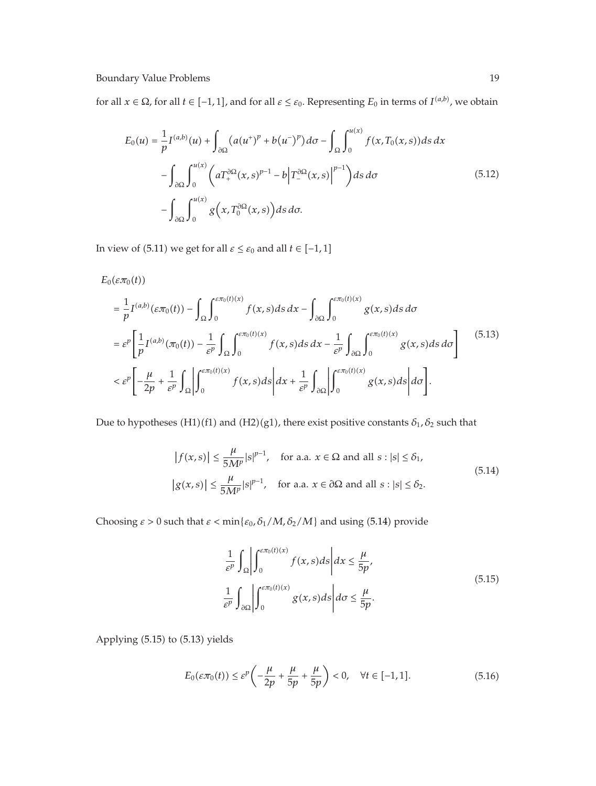for all  $x \in \Omega$ , for all  $t \in [-1,1]$ , and for all  $\varepsilon \leq \varepsilon_0$ . Representing  $E_0$  in terms of  $I^{(a,b)}$ , we obtain

$$
E_0(u) = \frac{1}{p} I^{(a,b)}(u) + \int_{\partial\Omega} (a(u^+)^p + b(u^-)^p) d\sigma - \int_{\Omega} \int_0^{u(x)} f(x, T_0(x, s)) ds dx
$$
  

$$
- \int_{\partial\Omega} \int_0^{u(x)} \left( a T_+^{\partial\Omega} (x, s)^{p-1} - b \left| T_-^{\partial\Omega} (x, s) \right|^{p-1} \right) ds d\sigma
$$
  

$$
- \int_{\partial\Omega} \int_0^{u(x)} g\left(x, T_0^{\partial\Omega} (x, s)\right) ds d\sigma.
$$
 (5.12)

In view of (5.11) we get for all  $\varepsilon \leq \varepsilon_0$  and all  $t \in [-1, 1]$ 

$$
E_0(\varepsilon \pi_0(t))
$$

$$
= \frac{1}{p} I^{(a,b)}(\varepsilon \pi_0(t)) - \int_{\Omega} \int_0^{\varepsilon \pi_0(t)(x)} f(x, s) ds dx - \int_{\partial \Omega} \int_0^{\varepsilon \pi_0(t)(x)} g(x, s) ds d\sigma
$$
  
\n
$$
= \varepsilon^p \left[ \frac{1}{p} I^{(a,b)}(\pi_0(t)) - \frac{1}{\varepsilon^p} \int_{\Omega} \int_0^{\varepsilon \pi_0(t)(x)} f(x, s) ds dx - \frac{1}{\varepsilon^p} \int_{\partial \Omega} \int_0^{\varepsilon \pi_0(t)(x)} g(x, s) ds d\sigma \right]
$$
(5.13)  
\n
$$
< \varepsilon^p \left[ -\frac{\mu}{2p} + \frac{1}{\varepsilon^p} \int_{\Omega} \left| \int_0^{\varepsilon \pi_0(t)(x)} f(x, s) ds \right| dx + \frac{1}{\varepsilon^p} \int_{\partial \Omega} \left| \int_0^{\varepsilon \pi_0(t)(x)} g(x, s) ds \right| d\sigma \right].
$$

Due to hypotheses (H1)(f1) and (H2)(g1), there exist positive constants  $\delta_1$ ,  $\delta_2$  such that

$$
|f(x,s)| \le \frac{\mu}{5M^p} |s|^{p-1}, \quad \text{for a.a. } x \in \Omega \text{ and all } s : |s| \le \delta_1,
$$
  

$$
|g(x,s)| \le \frac{\mu}{5M^p} |s|^{p-1}, \quad \text{for a.a. } x \in \partial\Omega \text{ and all } s : |s| \le \delta_2.
$$
 (5.14)

Choosing  $\varepsilon > 0$  such that  $\varepsilon < \min\{\varepsilon_0, \delta_1/M, \delta_2/M\}$  and using (5.14) provide

$$
\frac{1}{\varepsilon^p} \int_{\Omega} \left| \int_0^{\varepsilon \pi_0(t)(x)} f(x, s) ds \right| dx \le \frac{\mu}{5p},
$$
\n
$$
\frac{1}{\varepsilon^p} \int_{\partial \Omega} \left| \int_0^{\varepsilon \pi_0(t)(x)} g(x, s) ds \right| d\sigma \le \frac{\mu}{5p}.
$$
\n(5.15)

Applying  $(5.15)$  to  $(5.13)$  yields

$$
E_0(\varepsilon \pi_0(t)) \le \varepsilon^p \left(-\frac{\mu}{2p} + \frac{\mu}{5p} + \frac{\mu}{5p}\right) < 0, \quad \forall t \in [-1, 1].\tag{5.16}
$$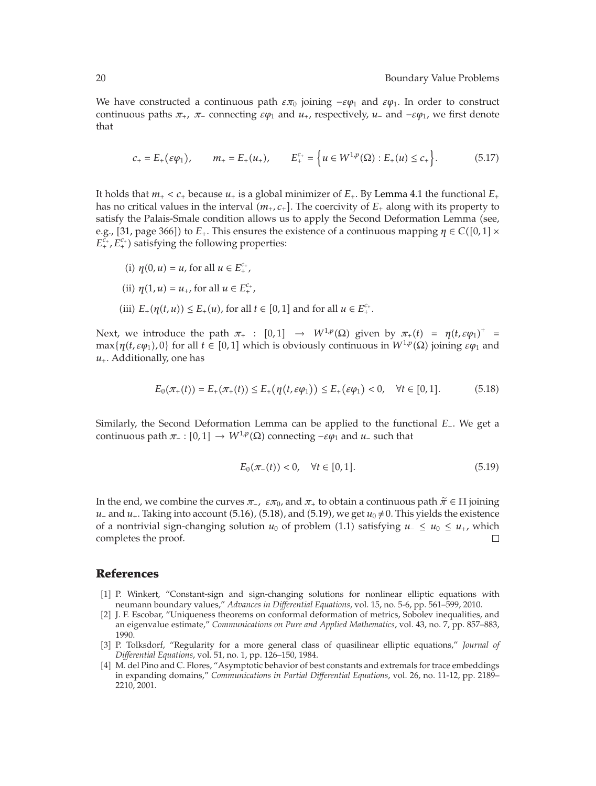We have constructed a continuous path  $\epsilon \pi_0$  joining  $-\epsilon \varphi_1$  and  $\epsilon \varphi_1$ . In order to construct continuous paths  $\pi_+$ ,  $\pi_-$  connecting  $\varepsilon\varphi_1$  and  $u_+$ , respectively,  $u_-$  and  $-\varepsilon\varphi_1$ , we first denote that

$$
c_{+} = E_{+}(\varepsilon \varphi_{1}), \qquad m_{+} = E_{+}(u_{+}), \qquad E_{+}^{c_{+}} = \left\{ u \in W^{1,p}(\Omega) : E_{+}(u) \leq c_{+} \right\}. \tag{5.17}
$$

It holds that  $m_+ < c_+$  because  $u_+$  is a global minimizer of  $E_+$ . By Lemma 4.1 the functional  $E_+$ has no critical values in the interval  $(m_+, c_+]$ . The coercivity of  $E_+$  along with its property to satisfy the Palais-Smale condition allows us to apply the Second Deformation Lemma (see, e.g., [31, page 366]) to  $E_{+}.$  This ensures the existence of a continuous mapping  $\eta \in C([0,1] \times$  $E_+^{c_+}$ ,  $E_+^{c_+}$ ) satisfying the following properties:

- (i)  $\eta(0, u) = u$ , for all  $u \in E_{+}^{c_{+}}$ ,
- (ii)  $\eta(1, u) = u_+$ , for all  $u \in E_+^{c_+}$ ,
- (iii)  $E_{+}(\eta(t, u)) \le E_{+}(u)$ , for all  $t \in [0, 1]$  and for all  $u \in E_{+}^{c_{+}}$ .

Next, we introduce the path  $\pi_+$  :  $[0,1] \rightarrow W^{1,p}(\Omega)$  given by  $\pi_+(t) = \eta(t,\varepsilon\varphi_1)^+$  $max{\{\eta(t, \varepsilon\varphi_1), 0\}}$  for all  $t \in [0,1]$  which is obviously continuous in  $W^{1,p}(\Omega)$  joining  $\varepsilon\varphi_1$  and  $u_+$ . Additionally, one has

$$
E_0(\pi_+(t)) = E_+(\pi_+(t)) \le E_+(\eta(t, \varepsilon \varphi_1)) \le E_+(\varepsilon \varphi_1) < 0, \quad \forall t \in [0, 1].
$$
 (5.18)

Similarly, the Second Deformation Lemma can be applied to the functional *E*−. We get a continuous path  $\pi_- : [0,1] \to W^{1,p}(\Omega)$  connecting  $-\varepsilon \varphi_1$  and  $u_-$  such that

$$
E_0(\pi_-(t)) < 0, \quad \forall t \in [0, 1].\tag{5.19}
$$

In the end, we combine the curves  $\pi$ <sub>−</sub>,  $\varepsilon \pi_0$ , and  $\pi_+$  to obtain a continuous path  $\tilde{\pi} \in \Pi$  joining *u*− and *u*<sub>+</sub>. Taking into account (5.16), (5.18), and (5.19), we get  $u_0 \neq 0$ . This yields the existence of a nontrivial sign-changing solution  $u_0$  of problem (1.1) satisfying  $u_-\leq u_0 \leq u_+$ , which completes the proof.  $\Box$ 

### **References**

- 1 P. Winkert, "Constant-sign and sign-changing solutions for nonlinear elliptic equations with neumann boundary values," *Advances in Differential Equations*, vol. 15, no. 5-6, pp. 561–599, 2010.
- 2 J. F. Escobar, "Uniqueness theorems on conformal deformation of metrics, Sobolev inequalities, and an eigenvalue estimate," *Communications on Pure and Applied Mathematics*, vol. 43, no. 7, pp. 857–883, 1990.
- 3 P. Tolksdorf, "Regularity for a more general class of quasilinear elliptic equations," *Journal of Differential Equations*, vol. 51, no. 1, pp. 126–150, 1984.
- 4 M. del Pino and C. Flores, "Asymptotic behavior of best constants and extremals for trace embeddings in expanding domains," *Communications in Partial Differential Equations*, vol. 26, no. 11-12, pp. 2189– 2210, 2001.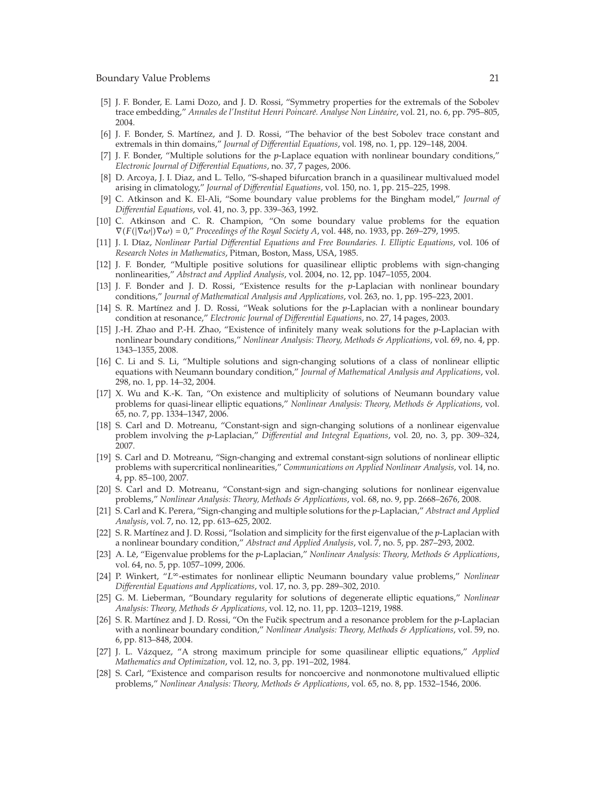- 5 J. F. Bonder, E. Lami Dozo, and J. D. Rossi, "Symmetry properties for the extremals of the Sobolev trace embedding," Annales de l'Institut Henri Poincaré. Analyse Non Linéaire, vol. 21, no. 6, pp. 795–805, 2004.
- [6] J. F. Bonder, S. Martínez, and J. D. Rossi, "The behavior of the best Sobolev trace constant and extremals in thin domains," *Journal of Differential Equations*, vol. 198, no. 1, pp. 129–148, 2004.
- 7 J. F. Bonder, "Multiple solutions for the *p*-Laplace equation with nonlinear boundary conditions," *Electronic Journal of Differential Equations*, no. 37, 7 pages, 2006.
- 8 D. Arcoya, J. I. Diaz, and L. Tello, "S-shaped bifurcation branch in a quasilinear multivalued model arising in climatology," *Journal of Differential Equations*, vol. 150, no. 1, pp. 215–225, 1998.
- 9 C. Atkinson and K. El-Ali, "Some boundary value problems for the Bingham model," *Journal of Differential Equations*, vol. 41, no. 3, pp. 339–363, 1992.
- [10] C. Atkinson and C. R. Champion, "On some boundary value problems for the equation  $\nabla(F(|\nabla\omega|)\nabla\omega) = 0$ ," *Proceedings of the Royal Society A*, vol. 448, no. 1933, pp. 269–279, 1995.
- [11] J. I. Díaz, *Nonlinear Partial Differential Equations and Free Boundaries. I. Elliptic Equations, vol. 106 of Research Notes in Mathematics*, Pitman, Boston, Mass, USA, 1985.
- 12 J. F. Bonder, "Multiple positive solutions for quasilinear elliptic problems with sign-changing nonlinearities," *Abstract and Applied Analysis*, vol. 2004, no. 12, pp. 1047–1055, 2004.
- 13 J. F. Bonder and J. D. Rossi, "Existence results for the *p*-Laplacian with nonlinear boundary conditions," *Journal of Mathematical Analysis and Applications*, vol. 263, no. 1, pp. 195–223, 2001.
- [14] S. R. Martínez and J. D. Rossi, "Weak solutions for the *p*-Laplacian with a nonlinear boundary condition at resonance," *Electronic Journal of Differential Equations*, no. 27, 14 pages, 2003.
- 15 J.-H. Zhao and P.-H. Zhao, "Existence of infinitely many weak solutions for the *p*-Laplacian with nonlinear boundary conditions," *Nonlinear Analysis: Theory, Methods & Applications*, vol. 69, no. 4, pp. 1343–1355, 2008.
- 16 C. Li and S. Li, "Multiple solutions and sign-changing solutions of a class of nonlinear elliptic equations with Neumann boundary condition," *Journal of Mathematical Analysis and Applications*, vol. 298, no. 1, pp. 14–32, 2004.
- 17 X. Wu and K.-K. Tan, "On existence and multiplicity of solutions of Neumann boundary value problems for quasi-linear elliptic equations," *Nonlinear Analysis: Theory, Methods & Applications*, vol. 65, no. 7, pp. 1334–1347, 2006.
- 18 S. Carl and D. Motreanu, "Constant-sign and sign-changing solutions of a nonlinear eigenvalue problem involving the *p*-Laplacian," *Differential and Integral Equations*, vol. 20, no. 3, pp. 309–324, 2007.
- 19 S. Carl and D. Motreanu, "Sign-changing and extremal constant-sign solutions of nonlinear elliptic problems with supercritical nonlinearities," *Communications on Applied Nonlinear Analysis*, vol. 14, no. 4, pp. 85–100, 2007.
- 20 S. Carl and D. Motreanu, "Constant-sign and sign-changing solutions for nonlinear eigenvalue problems," *Nonlinear Analysis: Theory, Methods & Applications*, vol. 68, no. 9, pp. 2668–2676, 2008.
- 21 S. Carl and K. Perera, "Sign-changing and multiple solutions for the *p*-Laplacian," *Abstract and Applied Analysis*, vol. 7, no. 12, pp. 613–625, 2002.
- [22] S. R. Martínez and J. D. Rossi, "Isolation and simplicity for the first eigenvalue of the *p*-Laplacian with a nonlinear boundary condition," *Abstract and Applied Analysis*, vol. 7, no. 5, pp. 287–293, 2002.
- [23] A. Lê, "Eigenvalue problems for the p-Laplacian," *Nonlinear Analysis: Theory, Methods & Applications*, vol. 64, no. 5, pp. 1057–1099, 2006.
- 24 P. Winkert, "*L*<sup>∞</sup>-estimates for nonlinear elliptic Neumann boundary value problems," *Nonlinear Differential Equations and Applications*, vol. 17, no. 3, pp. 289–302, 2010.
- 25 G. M. Lieberman, "Boundary regularity for solutions of degenerate elliptic equations," *Nonlinear Analysis: Theory, Methods & Applications*, vol. 12, no. 11, pp. 1203–1219, 1988.
- [26] S. R. Martínez and J. D. Rossi, "On the Fučik spectrum and a resonance problem for the *p*-Laplacian with a nonlinear boundary condition," *Nonlinear Analysis: Theory, Methods & Applications*, vol. 59, no. 6, pp. 813–848, 2004.
- 27 J. L. Vazquez, "A strong maximum principle for some quasilinear elliptic equations," ´ *Applied Mathematics and Optimization*, vol. 12, no. 3, pp. 191–202, 1984.
- 28 S. Carl, "Existence and comparison results for noncoercive and nonmonotone multivalued elliptic problems," *Nonlinear Analysis: Theory, Methods & Applications*, vol. 65, no. 8, pp. 1532–1546, 2006.